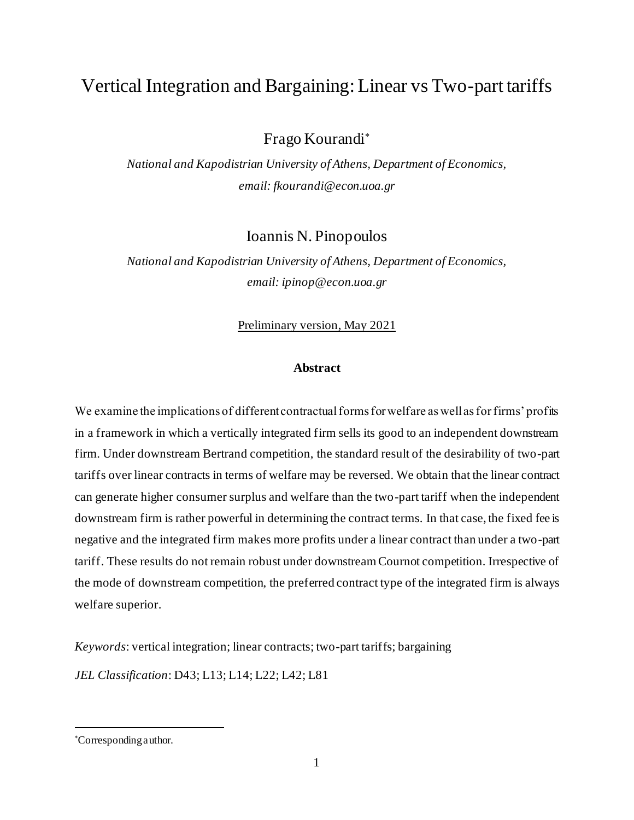# Vertical Integration and Bargaining: Linear vs Two-part tariffs

Frago Kourandi

*National and Kapodistrian University of Athens, Department of Economics, email: fkourandi@econ.uoa.gr*

Ioannis N. Pinopoulos

*National and Kapodistrian University of Athens, Department of Economics, email: ipinop@econ.uoa.gr*

Preliminary version, May 2021

# **Abstract**

We examine the implications of different contractual forms for welfare as well as for firms' profits in a framework in which a vertically integrated firm sells its good to an independent downstream firm. Under downstream Bertrand competition, the standard result of the desirability of two-part tariffs over linear contracts in terms of welfare may be reversed. We obtain that the linear contract can generate higher consumer surplus and welfare than the two-part tariff when the independent downstream firm is rather powerful in determining the contract terms. In that case, the fixed fee is negative and the integrated firm makes more profits under a linear contract than under a two-part tariff. These results do not remain robust under downstream Cournot competition. Irrespective of the mode of downstream competition, the preferred contract type of the integrated firm is always welfare superior.

*Keywords*: vertical integration; linear contracts; two-part tariffs; bargaining

*JEL Classification*: D43; L13; L14; L22; L42; L81

Corresponding author.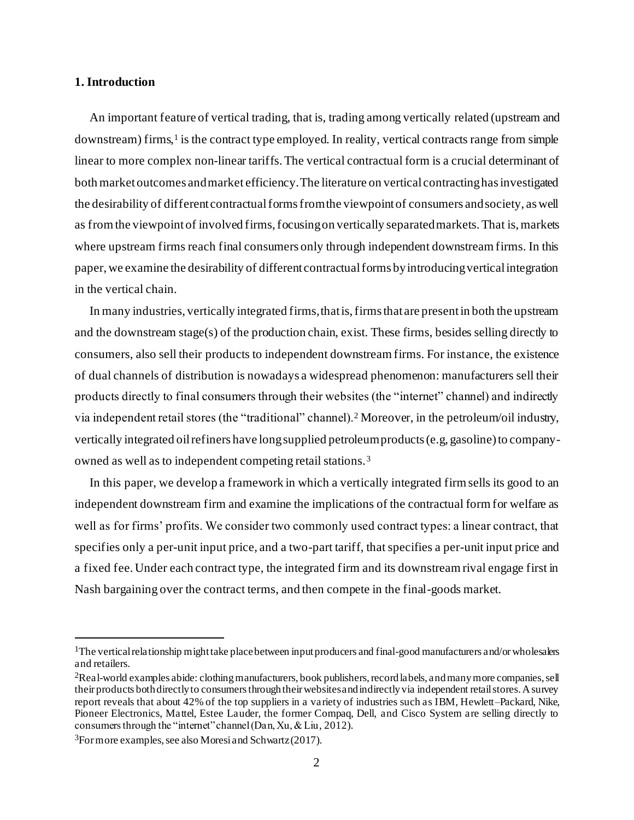#### **1. Introduction**

An important feature of vertical trading, that is, trading among vertically related (upstream and downstream) firms,<sup>1</sup> is the contract type employed. In reality, vertical contracts range from simple linear to more complex non-linear tariffs. The vertical contractual form is a crucial determinant of both market outcomes and market efficiency. The literature on vertical contracting has investigated the desirability of different contractual forms from the viewpoint of consumers and society, as well as from the viewpoint of involved firms, focusing on vertically separated markets. That is, markets where upstream firms reach final consumers only through independent downstream firms. In this paper, we examine the desirability of different contractual forms by introducing vertical integration in the vertical chain.

In many industries, vertically integrated firms, that is, firms that are present in both the upstream and the downstream stage(s) of the production chain, exist. These firms, besides selling directly to consumers, also sell their products to independent downstream firms. For instance, the existence of dual channels of distribution is nowadays a widespread phenomenon: manufacturers sell their products directly to final consumers through their websites (the "internet" channel) and indirectly via independent retail stores (the "traditional" channel).<sup>2</sup> Moreover, in the petroleum/oil industry, vertically integrated oil refiners have long supplied petroleum products (e.g, gasoline) to companyowned as well as to independent competing retail stations.<sup>3</sup>

In this paper, we develop a framework in which a vertically integrated firm sells its good to an independent downstream firm and examine the implications of the contractual form for welfare as well as for firms' profits. We consider two commonly used contract types: a linear contract, that specifies only a per-unit input price, and a two-part tariff, that specifies a per-unit input price and a fixed fee. Under each contract type, the integrated firm and its downstream rival engage first in Nash bargaining over the contract terms, and then compete in the final-goods market.

<sup>&</sup>lt;sup>1</sup>The vertical relationship might take place between input producers and final-good manufacturers and/or wholesalers and retailers.

<sup>&</sup>lt;sup>2</sup>Real-world examples abide: clothing manufacturers, book publishers, record labels, and many more companies, sell their products both directly to consumers through their websites and indirectly via independent retail stores. A survey report reveals that about 42% of the top suppliers in a variety of industries such as IBM, Hewlett–Packard, Nike, Pioneer Electronics, Mattel, Estee Lauder, the former Compaq, Dell, and Cisco System are selling directly to consumers through the "internet" channel (Dan, Xu, & Liu, 2012).

 $3$ For more examples, see also Moresi and Schwartz (2017).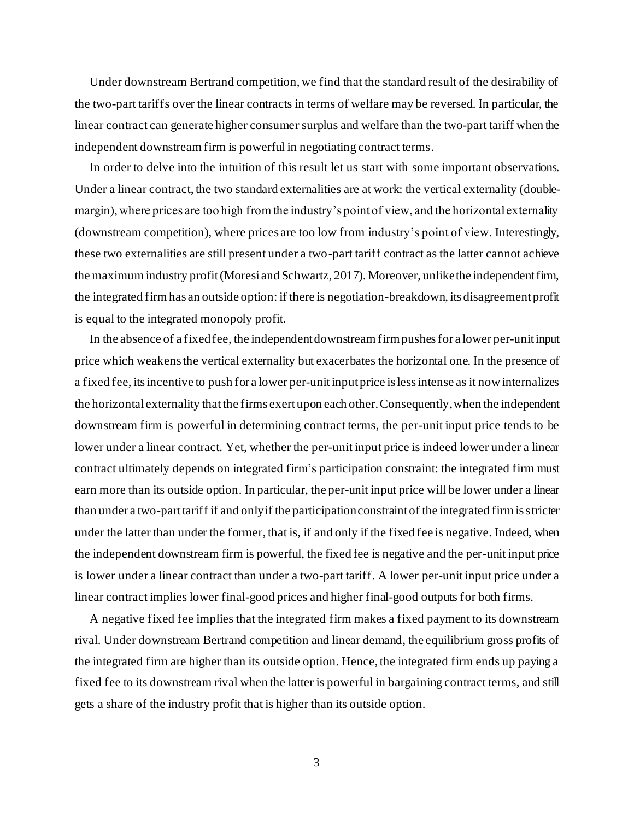Under downstream Bertrand competition, we find that the standard result of the desirability of the two-part tariffs over the linear contracts in terms of welfare may be reversed. In particular, the linear contract can generate higher consumer surplus and welfare than the two-part tariff when the independent downstream firm is powerful in negotiating contract terms.

In order to delve into the intuition of this result let us start with some important observations. Under a linear contract, the two standard externalities are at work: the vertical externality (doublemargin), where prices are too high from the industry's point of view, and the horizontal externality (downstream competition), where prices are too low from industry's point of view. Interestingly, these two externalities are still present under a two-part tariff contract as the latter cannot achieve the maximum industry profit(Moresi and Schwartz, 2017). Moreover, unlike the independent firm, the integrated firm has an outside option: if there is negotiation-breakdown, its disagreement profit is equal to the integrated monopoly profit.

In the absence of a fixed fee, the independent downstream firmpushes for a lower per-unit input price which weakens the vertical externality but exacerbates the horizontal one. In the presence of a fixed fee, itsincentive to push for a lower per-unit input price is less intense as it now internalizes the horizontal externality that the firms exert upon each other. Consequently, when the independent downstream firm is powerful in determining contract terms, the per-unit input price tends to be lower under a linear contract. Yet, whether the per-unit input price is indeed lower under a linear contract ultimately depends on integrated firm's participation constraint: the integrated firm must earn more than its outside option. In particular, the per-unit input price will be lower under a linear than under a two-part tariff if and only if the participation constraint of the integrated firm is stricter under the latter than under the former, that is, if and only if the fixed fee is negative. Indeed, when the independent downstream firm is powerful, the fixed fee is negative and the per-unit input price is lower under a linear contract than under a two-part tariff. A lower per-unit input price under a linear contract implies lower final-good prices and higher final-good outputs for both firms.

A negative fixed fee implies that the integrated firm makes a fixed payment to its downstream rival. Under downstream Bertrand competition and linear demand, the equilibrium gross profits of the integrated firm are higher than its outside option. Hence, the integrated firm ends up paying a fixed fee to its downstream rival when the latter is powerful in bargaining contract terms, and still gets a share of the industry profit that is higher than its outside option.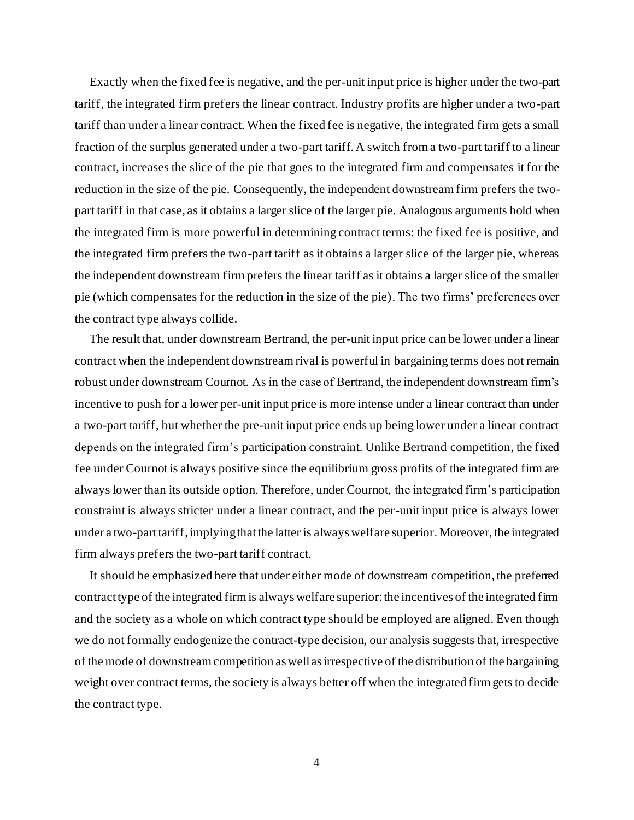Exactly when the fixed fee is negative, and the per-unit input price is higher under the two-part tariff, the integrated firm prefers the linear contract. Industry profits are higher under a two-part tariff than under a linear contract. When the fixed fee is negative, the integrated firm gets a small fraction of the surplus generated under a two-part tariff. A switch from a two-part tariff to a linear contract, increases the slice of the pie that goes to the integrated firm and compensates it for the reduction in the size of the pie. Consequently, the independent downstream firm prefers the twopart tariff in that case, as it obtains a larger slice of the larger pie. Analogous arguments hold when the integrated firm is more powerful in determining contract terms: the fixed fee is positive, and the integrated firm prefers the two-part tariff as it obtains a larger slice of the larger pie, whereas the independent downstream firm prefers the linear tariff as it obtains a larger slice of the smaller pie (which compensates for the reduction in the size of the pie). The two firms' preferences over the contract type always collide.

The result that, under downstream Bertrand, the per-unit input price can be lower under a linear contract when the independent downstream rival is powerful in bargaining terms does not remain robust under downstream Cournot. As in the case of Bertrand, the independent downstream firm's incentive to push for a lower per-unit input price is more intense under a linear contract than under a two-part tariff, but whether the pre-unit input price ends up being lower under a linear contract depends on the integrated firm's participation constraint. Unlike Bertrand competition, the fixed fee under Cournot is always positive since the equilibrium gross profits of the integrated firm are always lower than its outside option. Therefore, under Cournot, the integrated firm's participation constraint is always stricter under a linear contract, and the per-unit input price is always lower under a two-part tariff, implying that the latter is always welfare superior. Moreover, the integrated firm always prefers the two-part tariff contract.

It should be emphasized here that under either mode of downstream competition, the preferred contract type of the integrated firm is always welfare superior: the incentives of the integrated firm and the society as a whole on which contract type should be employed are aligned. Even though we do not formally endogenize the contract-type decision, our analysis suggests that, irrespective of the mode of downstream competition as well as irrespective of the distribution of the bargaining weight over contract terms, the society is always better off when the integrated firm gets to decide the contract type.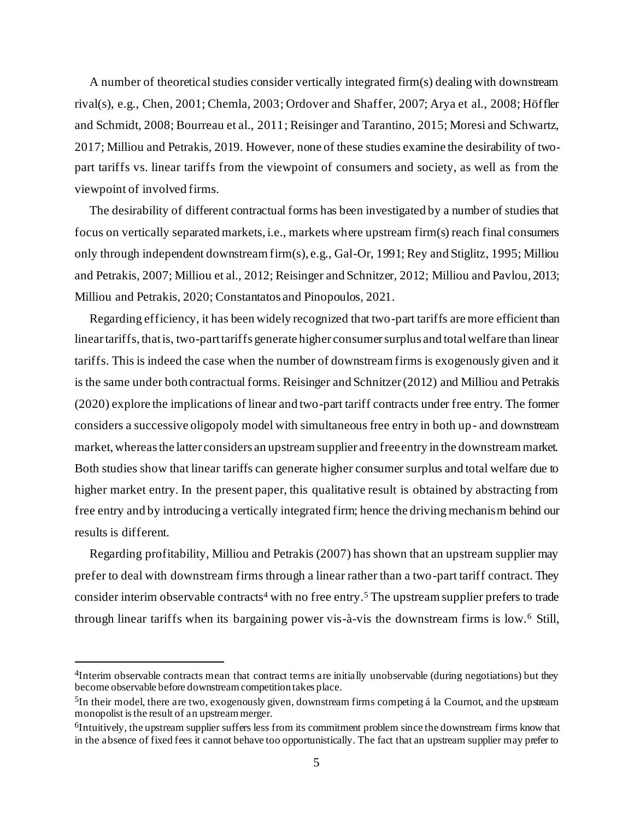A number of theoretical studies consider vertically integrated firm(s) dealing with downstream rival(s), e.g., Chen, 2001; Chemla, 2003; Ordover and Shaffer, 2007; Arya et al., 2008; Höffler and Schmidt, 2008; Bourreau et al., 2011; Reisinger and Tarantino, 2015; Moresi and Schwartz, 2017; Milliou and Petrakis, 2019. However, none of these studies examine the desirability of twopart tariffs vs. linear tariffs from the viewpoint of consumers and society, as well as from the viewpoint of involved firms.

The desirability of different contractual forms has been investigated by a number of studies that focus on vertically separated markets, i.e., markets where upstream firm(s) reach final consumers only through independent downstream firm(s), e.g., Gal-Or, 1991; Rey and Stiglitz, 1995; Milliou and Petrakis, 2007; Milliou et al., 2012; Reisinger and Schnitzer, 2012; Milliou and Pavlou, 2013; Milliou and Petrakis, 2020; Constantatos and Pinopoulos, 2021.

Regarding efficiency, it has been widely recognized that two-part tariffs are more efficient than linear tariffs, that is, two-part tariffs generate higher consumer surplus and total welfare than linear tariffs. This is indeed the case when the number of downstream firms is exogenously given and it is the same under both contractual forms. Reisinger and Schnitzer (2012) and Milliou and Petrakis (2020) explore the implications of linear and two-part tariff contracts under free entry. The former considers a successive oligopoly model with simultaneous free entry in both up- and downstream market, whereas the latter considers an upstream supplier and free entry in the downstream market. Both studies show that linear tariffs can generate higher consumer surplus and total welfare due to higher market entry. In the present paper, this qualitative result is obtained by abstracting from free entry and by introducing a vertically integrated firm; hence the driving mechanism behind our results is different.

Regarding profitability, Milliou and Petrakis (2007) has shown that an upstream supplier may prefer to deal with downstream firms through a linear rather than a two-part tariff contract. They consider interim observable contracts<sup>4</sup> with no free entry.<sup>5</sup> The upstream supplier prefers to trade through linear tariffs when its bargaining power vis-à-vis the downstream firms is low.<sup>6</sup> Still,

<sup>&</sup>lt;sup>4</sup>Interim observable contracts mean that contract terms are initially unobservable (during negotiations) but they become observable before downstream competition takes place.

<sup>&</sup>lt;sup>5</sup>In their model, there are two, exogenously given, downstream firms competing á la Cournot, and the upstream monopolist is the result of an upstream merger.

<sup>&</sup>lt;sup>6</sup>Intuitively, the upstream supplier suffers less from its commitment problem since the downstream firms know that in the absence of fixed fees it cannot behave too opportunistically. The fact that an upstream supplier may prefer to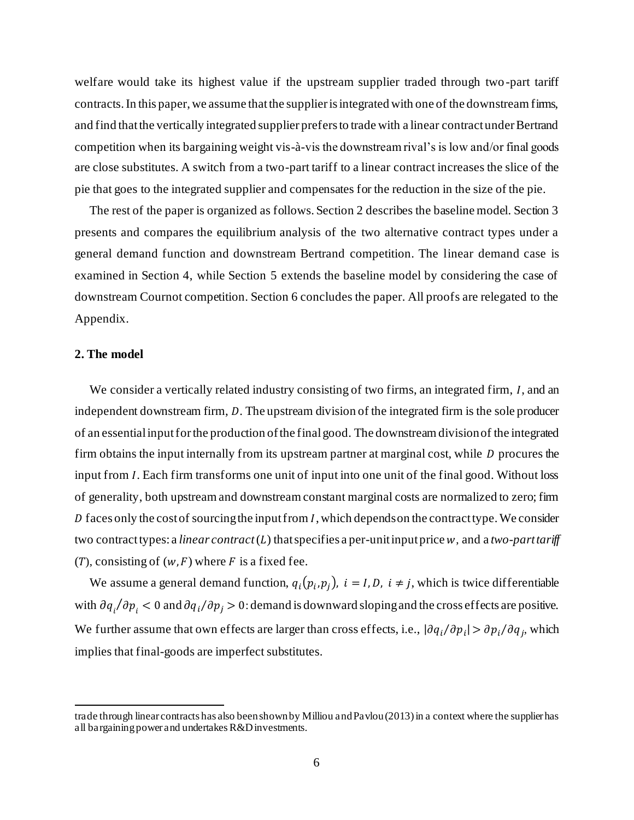welfare would take its highest value if the upstream supplier traded through two -part tariff contracts. In this paper, we assume that the supplier is integrated with one of the downstream firms, and find that the vertically integrated supplier prefers to trade with a linear contract under Bertrand competition when its bargaining weight vis-à-vis the downstream rival's is low and/or final goods are close substitutes. A switch from a two-part tariff to a linear contract increases the slice of the pie that goes to the integrated supplier and compensates for the reduction in the size of the pie.

The rest of the paper is organized as follows. Section 2 describes the baseline model. Section 3 presents and compares the equilibrium analysis of the two alternative contract types under a general demand function and downstream Bertrand competition. The linear demand case is examined in Section 4, while Section 5 extends the baseline model by considering the case of downstream Cournot competition. Section 6 concludes the paper. All proofs are relegated to the Appendix.

# **2. The model**

We consider a vertically related industry consisting of two firms, an integrated firm,  $I$ , and an independent downstream firm,  $D$ . The upstream division of the integrated firm is the sole producer of an essential input for the production of the final good. The downstream division of the integrated firm obtains the input internally from its upstream partner at marginal cost, while  $D$  procures the input from *I*. Each firm transforms one unit of input into one unit of the final good. Without loss of generality, both upstream and downstream constant marginal costs are normalized to zero; firm D faces only the cost of sourcing the input from  $I$ , which depends on the contract type. We consider two contract types: a *linear contract* ( $L$ ) that specifies a per-unit input price  $w$ , and a *two-part tariff*  $(T)$ , consisting of  $(w, F)$  where F is a fixed fee.

We assume a general demand function,  $q_i(p_i, p_j)$ ,  $i = I, D, i \neq j$ , which is twice differentiable with  $\partial q_i/\partial p_i < 0$  and  $\partial q_i/\partial p_j > 0$ : demand is downward sloping and the cross effects are positive. We further assume that own effects are larger than cross effects, i.e.,  $|\partial q_i/\partial p_i| > \partial p_i/\partial q_j$ , which implies that final-goods are imperfect substitutes.

trade through linear contracts has also been shown by Milliou and Pavlou (2013) in a context where the supplier has all bargaining power and undertakes R&D investments.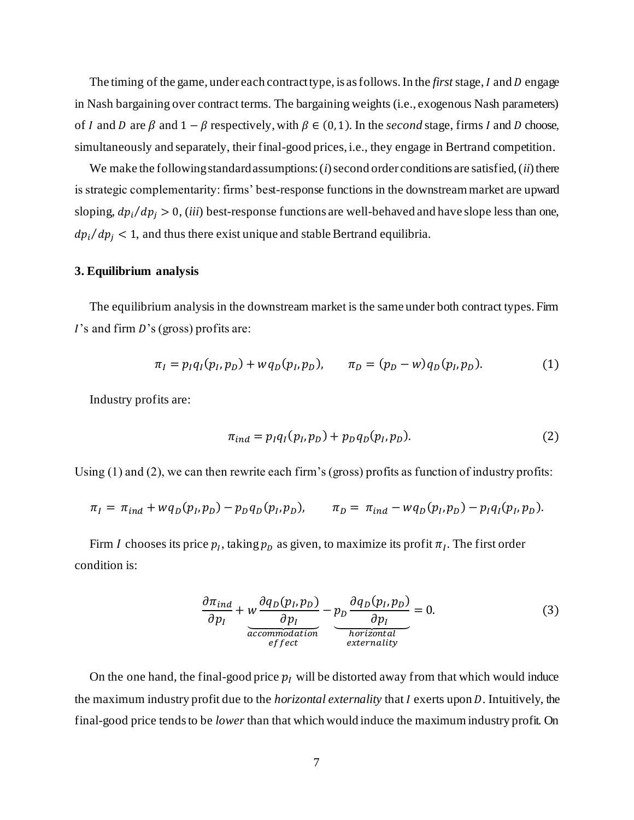The timing of the game, under each contract type, is as follows. In the *first* stage, I and D engage in Nash bargaining over contract terms. The bargaining weights (i.e., exogenous Nash parameters) of *I* and *D* are  $\beta$  and  $1 - \beta$  respectively, with  $\beta \in (0, 1)$ . In the *second* stage, firms *I* and *D* choose, simultaneously and separately, their final-good prices, i.e., they engage in Bertrand competition.

We make the following standard assumptions: (*i*) second order conditions are satisfied, (*ii*) there is strategic complementarity: firms' best-response functions in the downstream market are upward sloping,  $dp_i/dp_j > 0$ , *(iii)* best-response functions are well-behaved and have slope less than one,  $dp_i/dp_j < 1$ , and thus there exist unique and stable Bertrand equilibria.

#### **3. Equilibrium analysis**

The equilibrium analysis in the downstream market is the same under both contract types. Firm  $\overline{I}$ 's and firm  $\overline{D}$ 's (gross) profits are:

$$
\pi_I = p_I q_I (p_I, p_D) + w q_D (p_I, p_D), \qquad \pi_D = (p_D - w) q_D (p_I, p_D). \tag{1}
$$

Industry profits are:

$$
\pi_{ind} = p_I q_I(p_I, p_D) + p_D q_D(p_I, p_D). \tag{2}
$$

Using (1) and (2), we can then rewrite each firm's (gross) profits as function of industry profits:

$$
\pi_I = \pi_{ind} + w q_D(p_I, p_D) - p_D q_D(p_I, p_D), \qquad \pi_D = \pi_{ind} - w q_D(p_I, p_D) - p_I q_I(p_I, p_D).
$$

Firm *I* chooses its price  $p_I$ , taking  $p_D$  as given, to maximize its profit  $\pi_I$ . The first order condition is:

$$
\frac{\partial \pi_{ind}}{\partial p_I} + w \frac{\partial q_D(p_I, p_D)}{\partial p_I} - p_D \frac{\partial q_D(p_I, p_D)}{\partial p_I} = 0.
$$
\n(3)\n
$$
\underbrace{\frac{\partial \pi_{ind}}{\partial p_I}}_{\text{encionality}} = 0.
$$

On the one hand, the final-good price  $p<sub>I</sub>$  will be distorted away from that which would induce the maximum industry profit due to the *horizontal externality* that I exerts upon D. Intuitively, the final-good price tends to be *lower* than that which would induce the maximum industry profit. On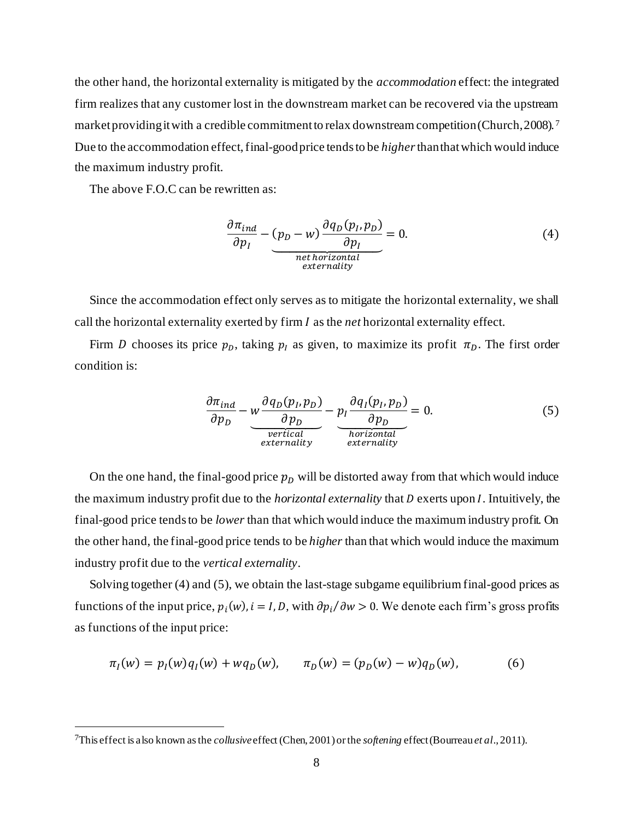the other hand, the horizontal externality is mitigated by the *accommodation* effect: the integrated firm realizes that any customer lost in the downstream market can be recovered via the upstream market providing it with a credible commitment to relax downstream competition (Church, 2008). <sup>7</sup> Due to the accommodation effect, final-good price tends to be *higher*than that which would induce the maximum industry profit.

The above F.O.C can be rewritten as:

$$
\frac{\partial \pi_{ind}}{\partial p_I} - (p_D - w) \frac{\partial q_D(p_I, p_D)}{\partial p_I} = 0.
$$
\n(4)

Since the accommodation effect only serves as to mitigate the horizontal externality, we shall call the horizontal externality exerted by firm *I* as the *net* horizontal externality effect.

Firm D chooses its price  $p<sub>D</sub>$ , taking  $p<sub>I</sub>$  as given, to maximize its profit  $\pi<sub>D</sub>$ . The first order condition is:

$$
\frac{\partial \pi_{ind}}{\partial p_D} - \underbrace{w \frac{\partial q_D(p_I, p_D)}{\partial p_D}}_{\text{vertical}} - \underbrace{p_I \frac{\partial q_I(p_I, p_D)}{\partial p_D}}_{\text{horizontal}} = 0. \tag{5}
$$

On the one hand, the final-good price  $p<sub>D</sub>$  will be distorted away from that which would induce the maximum industry profit due to the *horizontal externality* that *D* exerts upon *I*. Intuitively, the final-good price tends to be *lower* than that which would induce the maximum industry profit. On the other hand, the final-good price tends to be *higher* than that which would induce the maximum industry profit due to the *vertical externality*.

Solving together (4) and (5), we obtain the last-stage subgame equilibrium final-good prices as functions of the input price,  $p_i(w)$ ,  $i = I, D$ , with  $\partial p_i / \partial w > 0$ . We denote each firm's gross profits as functions of the input price:

$$
\pi_I(w) = p_I(w)q_I(w) + wq_D(w), \qquad \pi_D(w) = (p_D(w) - w)q_D(w), \tag{6}
$$

<sup>7</sup>This effect is also known as the *collusive*effect (Chen, 2001) or the *softening* effect (Bourreau *et al*., 2011).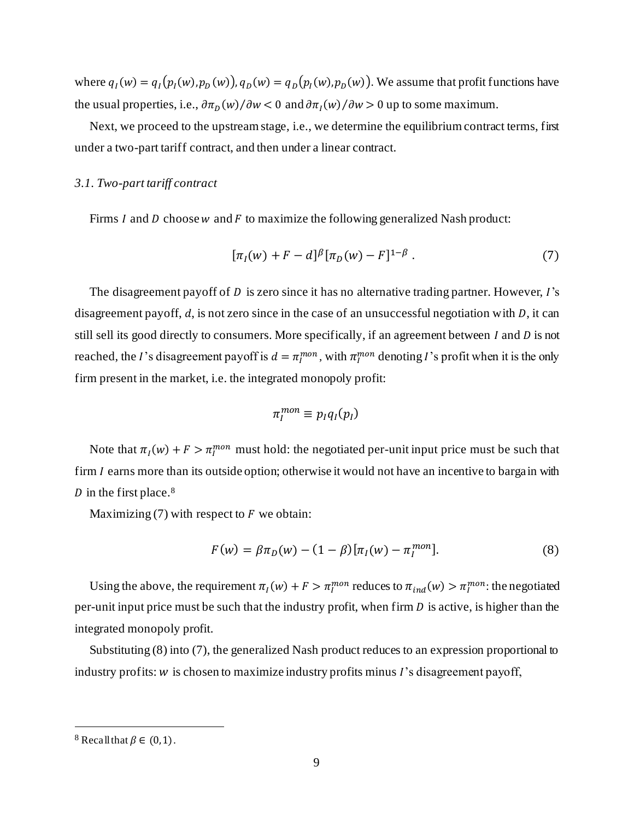where  $q_I(w) = q_I(p_I(w), p_D(w))$ ,  $q_D(w) = q_D(p_I(w), p_D(w))$ . We assume that profit functions have the usual properties, i.e.,  $\frac{\partial \pi_D(w)}{\partial w} < 0$  and  $\frac{\partial \pi_I(w)}{\partial w} > 0$  up to some maximum.

Next, we proceed to the upstream stage, i.e., we determine the equilibrium contract terms, first under a two-part tariff contract, and then under a linear contract.

# *3.1. Two-part tariff contract*

Firms  $I$  and  $D$  choose  $w$  and  $F$  to maximize the following generalized Nash product:

$$
[\pi_I(w) + F - d]^{\beta} [\pi_D(w) - F]^{1-\beta} . \tag{7}
$$

The disagreement payoff of  $D$  is zero since it has no alternative trading partner. However,  $I$ 's disagreement payoff,  $d$ , is not zero since in the case of an unsuccessful negotiation with  $D$ , it can still sell its good directly to consumers. More specifically, if an agreement between  $I$  and  $D$  is not reached, the *I*'s disagreement payoff is  $d = \pi_I^{mon}$ , with  $\pi_I^{mon}$  denoting *I*'s profit when it is the only firm present in the market, i.e. the integrated monopoly profit:

$$
\pi_I^{mon}\equiv p_Iq_I(p_I)
$$

Note that  $\pi_I(w) + F > \pi_I^{mon}$  must hold: the negotiated per-unit input price must be such that firm  $I$  earns more than its outside option; otherwise it would not have an incentive to bargain with D in the first place.<sup>8</sup>

Maximizing  $(7)$  with respect to F we obtain:

$$
F(w) = \beta \pi_D(w) - (1 - \beta) [\pi_I(w) - \pi_I^{mon}].
$$
\n(8)

Using the above, the requirement  $\pi_I(w) + F > \pi_I^{mon}$  reduces to  $\pi_{ind}(w) > \pi_I^{mon}$ : the negotiated per-unit input price must be such that the industry profit, when firm  $D$  is active, is higher than the integrated monopoly profit.

Substituting (8) into (7), the generalized Nash product reduces to an expression proportional to industry profits:  $w$  is chosen to maximize industry profits minus  $I$ 's disagreement payoff,

<sup>&</sup>lt;sup>8</sup> Recall that  $\beta \in (0,1)$ .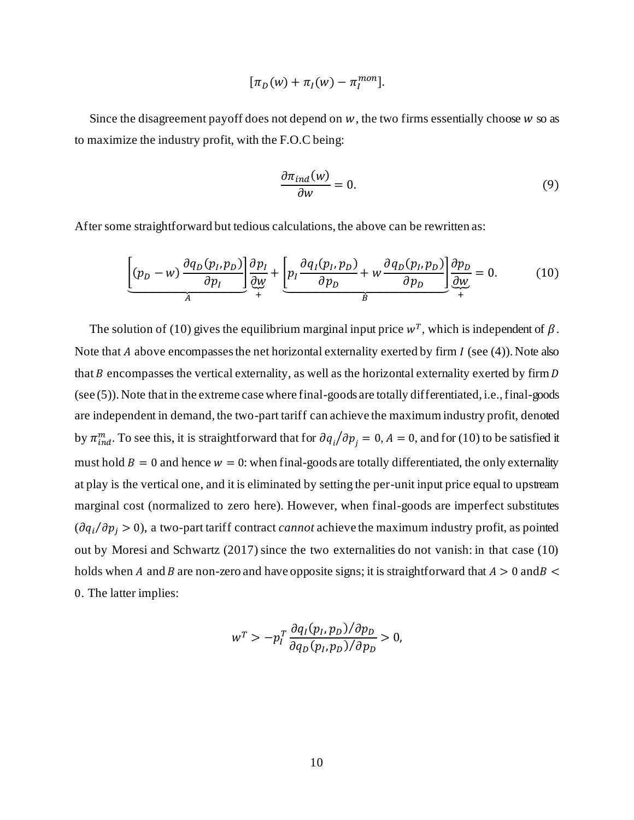$$
[\pi_D(w)+\pi_I(w)-\pi_I^{mon}].
$$

Since the disagreement payoff does not depend on  $w$ , the two firms essentially choose  $w$  so as to maximize the industry profit, with the F.O.C being:

$$
\frac{\partial \pi_{ind}(w)}{\partial w} = 0. \tag{9}
$$

After some straightforward but tedious calculations, the above can be rewritten as:

$$
\underbrace{\left[ (p_D - w) \frac{\partial q_D(p_I, p_D)}{\partial p_I} \right] \frac{\partial p_I}{\partial w}}_{A} + \underbrace{\left[ p_I \frac{\partial q_I(p_I, p_D)}{\partial p_D} + w \frac{\partial q_D(p_I, p_D)}{\partial p_D} \right] \frac{\partial p_D}{\partial w}}_{B} = 0. \tag{10}
$$

The solution of (10) gives the equilibrium marginal input price  $w<sup>T</sup>$ , which is independent of  $\beta$ . Note that  $A$  above encompasses the net horizontal externality exerted by firm  $I$  (see (4)). Note also that  $B$  encompasses the vertical externality, as well as the horizontal externality exerted by firm  $D$ (see (5)). Note that in the extreme case where final-goods are totally differentiated, i.e., final-goods are independent in demand, the two-part tariff can achieve the maximum industry profit, denoted by  $\pi_{ind}^m$ . To see this, it is straightforward that for  $\partial q_i/\partial p_j = 0$ ,  $A = 0$ , and for (10) to be satisfied it must hold  $B = 0$  and hence  $w = 0$ : when final-goods are totally differentiated, the only externality at play is the vertical one, and it is eliminated by setting the per-unit input price equal to upstream marginal cost (normalized to zero here). However, when final-goods are imperfect substitutes  $(\partial q_i/\partial p_j > 0)$ , a two-part tariff contract *cannot* achieve the maximum industry profit, as pointed out by Moresi and Schwartz (2017) since the two externalities do not vanish: in that case (10) holds when A and B are non-zero and have opposite signs; it is straightforward that  $A > 0$  and  $B <$ 0. The latter implies:

$$
w^T > -p_I^T \frac{\partial q_I(p_I, p_D)/\partial p_D}{\partial q_D(p_I, p_D)/\partial p_D} > 0,
$$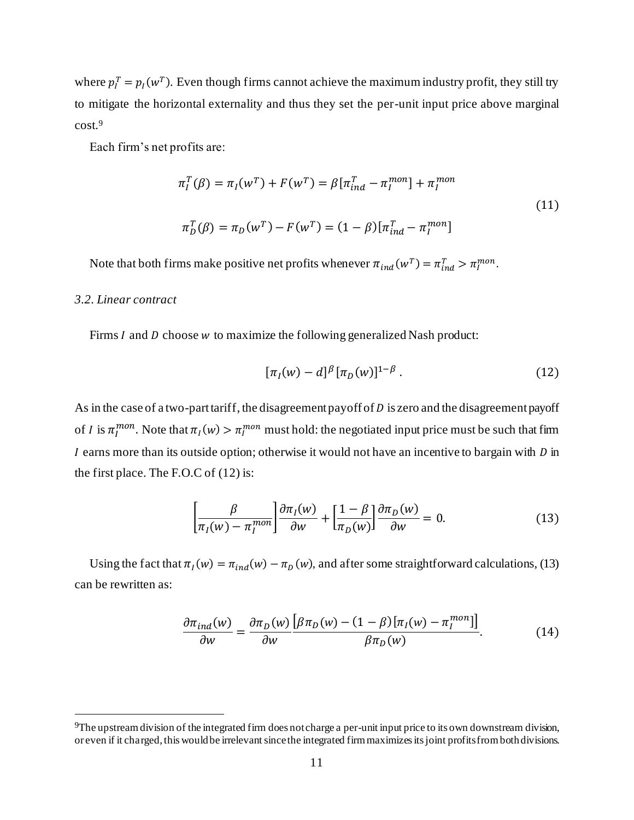where  $p_l^T = p_l(w^T)$ . Even though firms cannot achieve the maximum industry profit, they still try to mitigate the horizontal externality and thus they set the per-unit input price above marginal cost.<sup>9</sup>

Each firm's net profits are:

$$
\pi_I^T(\beta) = \pi_I(w^T) + F(w^T) = \beta [\pi_{ind}^T - \pi_I^{mon}] + \pi_I^{mon}
$$
  

$$
\pi_D^T(\beta) = \pi_D(w^T) - F(w^T) = (1 - \beta) [\pi_{ind}^T - \pi_I^{mon}]
$$
 (11)

Note that both firms make positive net profits whenever  $\pi_{ind}(w^T) = \pi_{ind}^T > \pi_I^{mon}$ .

#### *3.2. Linear contract*

Firms  $I$  and  $D$  choose  $w$  to maximize the following generalized Nash product:

$$
[\pi_I(w) - d]^{\beta} [\pi_D(w)]^{1-\beta} . \tag{12}
$$

As in the case of a two-part tariff, the disagreement payoff of  $D$  is zero and the disagreement payoff of *I* is  $\pi_l^{mon}$ . Note that  $\pi_l(w) > \pi_l^{mon}$  must hold: the negotiated input price must be such that firm I earns more than its outside option; otherwise it would not have an incentive to bargain with  $D$  in the first place. The F.O.C of (12) is:

$$
\left[\frac{\beta}{\pi_I(w) - \pi_I^{mon}}\right] \frac{\partial \pi_I(w)}{\partial w} + \left[\frac{1 - \beta}{\pi_D(w)}\right] \frac{\partial \pi_D(w)}{\partial w} = 0.
$$
 (13)

Using the fact that  $\pi_I(w) = \pi_{ind}(w) - \pi_D(w)$ , and after some straightforward calculations, (13) can be rewritten as:

$$
\frac{\partial \pi_{ind}(w)}{\partial w} = \frac{\partial \pi_D(w)}{\partial w} \frac{\left[\beta \pi_D(w) - (1 - \beta)\left[\pi_I(w) - \pi_I^{mon}\right]\right]}{\beta \pi_D(w)}.
$$
(14)

<sup>9</sup>The upstream division of the integrated firm does not charge a per-unit input price to its own downstream division, or even if it charged, this would be irrelevant since the integrated firm maximizes its joint profits from both divisions.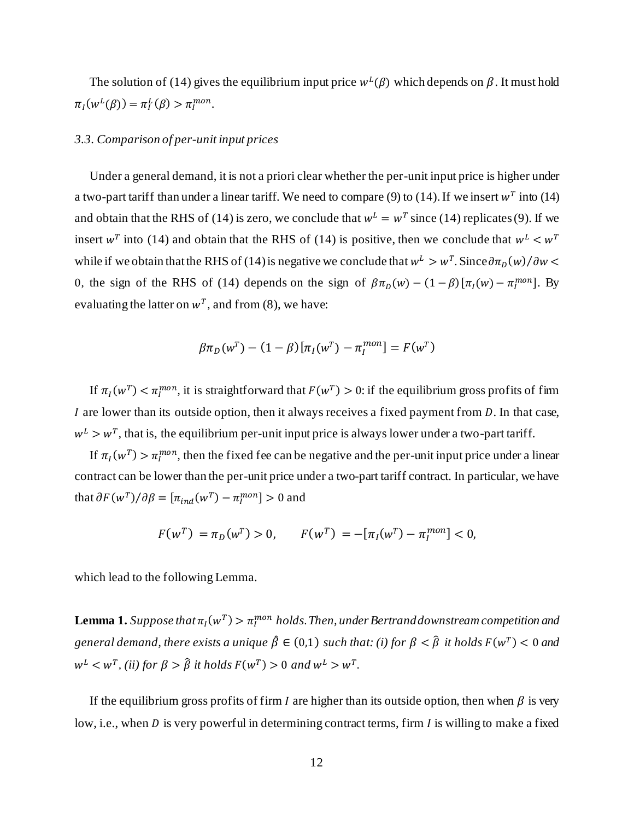The solution of (14) gives the equilibrium input price  $w^L(\beta)$  which depends on  $\beta$ . It must hold  $\pi_I(w^L(\beta)) = \pi_I^L(\beta) > \pi_I^{mon}.$ 

## *3.3. Comparison of per-unit input prices*

Under a general demand, it is not a priori clear whether the per-unit input price is higher under a two-part tariff than under a linear tariff. We need to compare (9) to (14). If we insert  $w<sup>T</sup>$  into (14) and obtain that the RHS of (14) is zero, we conclude that  $w^L = w^T$  since (14) replicates (9). If we insert w<sup>T</sup> into (14) and obtain that the RHS of (14) is positive, then we conclude that  $w<sup>L</sup> < w<sup>T</sup>$ while if we obtain that the RHS of (14) is negative we conclude that  $w^L > w^T$ . Since  $\partial \pi_D(w) / \partial w$ 0, the sign of the RHS of (14) depends on the sign of  $\beta \pi_D(w) - (1 - \beta) [\pi_I(w) - \pi_I^{mon}]$ . By evaluating the latter on  $w^T$ , and from (8), we have:

$$
\beta \pi_D(w^T) - (1 - \beta) [\pi_I(w^T) - \pi_I^{mon}] = F(w^T)
$$

If  $\pi_I(w^T) < \pi_I^{mon}$ , it is straightforward that  $F(w^T) > 0$ : if the equilibrium gross profits of firm I are lower than its outside option, then it always receives a fixed payment from  $D$ . In that case,  $w<sup>L</sup> > w<sup>T</sup>$ , that is, the equilibrium per-unit input price is always lower under a two-part tariff.

If  $\pi_I(w^T) > \pi_I^{mon}$ , then the fixed fee can be negative and the per-unit input price under a linear contract can be lower than the per-unit price under a two-part tariff contract. In particular, we have that  $\partial F(w^T) / \partial \beta = [\pi_{ind}(w^T) - \pi_I^{mon}] > 0$  and

$$
F(w^T) = \pi_D(w^T) > 0, \qquad F(w^T) = -[\pi_I(w^T) - \pi_I^{mon}] < 0,
$$

which lead to the following Lemma.

**Lemma 1.** Suppose that  $\pi_I(w^T) > \pi_I^{mon}$  holds. Then, under Bertrand downstream competition and *general demand, there exists a unique*  $\hat{\beta} \in (0,1)$  *such that: (i) for*  $\beta < \hat{\beta}$  *it holds*  $F(w^T) < 0$  *and*  $w<sup>L</sup> < w<sup>T</sup>$ , (ii) for  $\beta > \hat{\beta}$  it holds  $F(w<sup>T</sup>) > 0$  and  $w<sup>L</sup> > w<sup>T</sup>$ .

If the equilibrium gross profits of firm *I* are higher than its outside option, then when  $\beta$  is very low, i.e., when  $D$  is very powerful in determining contract terms, firm  $I$  is willing to make a fixed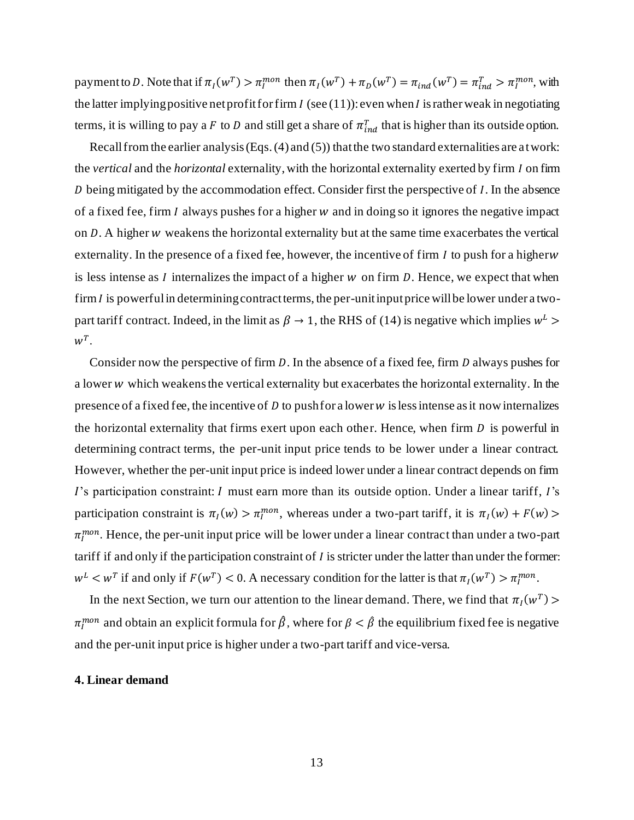payment to D. Note that if  $\pi_I(w^T) > \pi_I^{mon}$  then  $\pi_I(w^T) + \pi_D(w^T) = \pi_{ind}(w^T) = \pi_{ind}^T > \pi_I^{mon}$ , with the latter implying positive net profit for firm  $I$  (see (11)): even when  $I$  is rather weak in negotiating terms, it is willing to pay a F to D and still get a share of  $\pi_{ind}^T$  that is higher than its outside option.

Recall from the earlier analysis (Eqs. (4) and (5)) that the two standard externalities are at work: the *vertical* and the *horizontal* externality, with the horizontal externality exerted by firm I on firm  $D$  being mitigated by the accommodation effect. Consider first the perspective of  $I$ . In the absence of a fixed fee, firm  $I$  always pushes for a higher  $w$  and in doing so it ignores the negative impact on  $D$ . A higher  $w$  weakens the horizontal externality but at the same time exacerbates the vertical externality. In the presence of a fixed fee, however, the incentive of firm  $I$  to push for a higherw is less intense as  $I$  internalizes the impact of a higher  $w$  on firm  $D$ . Hence, we expect that when firm  $I$  is powerful in determining contract terms, the per-unit input price will be lower under a twopart tariff contract. Indeed, in the limit as  $\beta \to 1$ , the RHS of (14) is negative which implies  $w^L$  $w^T$ .

Consider now the perspective of firm  $D$ . In the absence of a fixed fee, firm  $D$  always pushes for a lower w which weakens the vertical externality but exacerbates the horizontal externality. In the presence of a fixed fee, the incentive of  $D$  to push for a lower  $w$  is less intense as it now internalizes the horizontal externality that firms exert upon each other. Hence, when firm  $D$  is powerful in determining contract terms, the per-unit input price tends to be lower under a linear contract. However, whether the per-unit input price is indeed lower under a linear contract depends on firm  $\Gamma$ 's participation constraint:  $I$  must earn more than its outside option. Under a linear tariff,  $I$ 's participation constraint is  $\pi_I(w) > \pi_I^{mon}$ , whereas under a two-part tariff, it is  $\pi_I(w) + F(w)$  $\pi_I^{mon}$ . Hence, the per-unit input price will be lower under a linear contract than under a two-part tariff if and only if the participation constraint of  $I$  is stricter under the latter than under the former:  $w^L < w^T$  if and only if  $F(w^T) < 0$ . A necessary condition for the latter is that  $\pi_I(w^T) > \pi_I^{mon}$ .

In the next Section, we turn our attention to the linear demand. There, we find that  $\pi_I(w^T)$  $\pi_I^{mon}$  and obtain an explicit formula for  $\hat{\beta}$ , where for  $\beta < \hat{\beta}$  the equilibrium fixed fee is negative and the per-unit input price is higher under a two-part tariff and vice-versa.

# **4. Linear demand**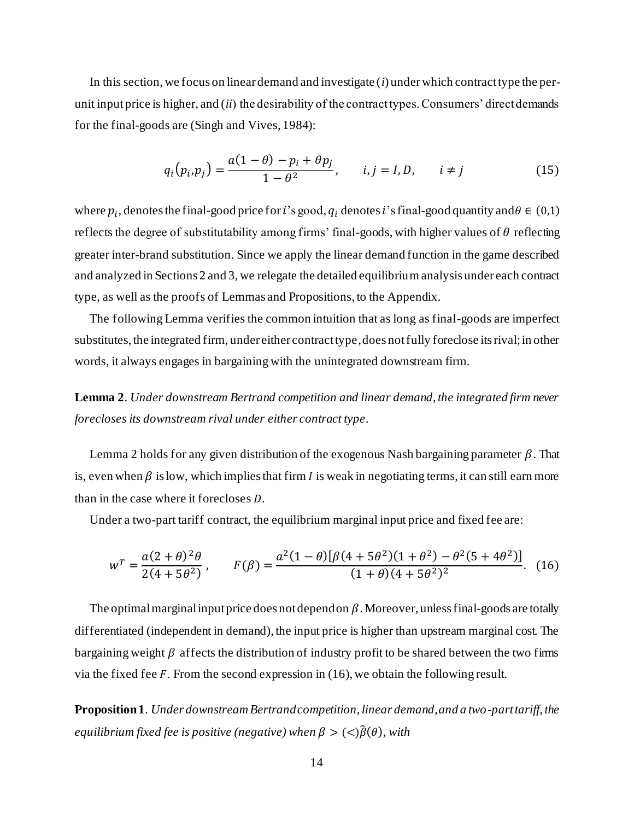In this section, we focus on linear demand and investigate (*i*) under which contract type the perunit input price is higher, and (*ii*) the desirability of the contract types. Consumers' direct demands for the final-goods are (Singh and Vives, 1984):

$$
q_i(p_i, p_j) = \frac{a(1 - \theta) - p_i + \theta p_j}{1 - \theta^2}, \qquad i, j = I, D, \qquad i \neq j
$$
 (15)

where  $p_i$ , denotes the final-good price for i's good,  $q_i$  denotes i's final-good quantity and  $\theta \in (0,1)$ reflects the degree of substitutability among firms' final-goods, with higher values of  $\theta$  reflecting greater inter-brand substitution. Since we apply the linear demand function in the game described and analyzed in Sections 2 and 3, we relegate the detailed equilibrium analysis under each contract type, as well as the proofs of Lemmas and Propositions, to the Appendix.

The following Lemma verifies the common intuition that as long as final-goods are imperfect substitutes, the integrated firm, under either contract type, does not fully foreclose its rival; in other words, it always engages in bargaining with the unintegrated downstream firm.

**Lemma 2**. *Under downstream Bertrand competition and linear demand, the integrated firm never forecloses its downstream rival under either contract type*.

Lemma 2 holds for any given distribution of the exogenous Nash bargaining parameter  $\beta$ . That is, even when  $\beta$  is low, which implies that firm *I* is weak in negotiating terms, it can still earn more than in the case where it forecloses  $D$ .

Under a two-part tariff contract, the equilibrium marginal input price and fixed fee are:

$$
w^T = \frac{a(2+\theta)^2 \theta}{2(4+5\theta^2)}, \qquad F(\beta) = \frac{a^2(1-\theta)[\beta(4+5\theta^2)(1+\theta^2) - \theta^2(5+4\theta^2)]}{(1+\theta)(4+5\theta^2)^2}.
$$
 (16)

The optimal marginal input price does not depend on  $\beta$ . Moreover, unless final-goods are totally differentiated (independent in demand), the input price is higher than upstream marginal cost. The bargaining weight  $\beta$  affects the distribution of industry profit to be shared between the two firms via the fixed fee  $F$ . From the second expression in (16), we obtain the following result.

**Proposition 1**. *Under downstream Bertrand competition, linear demand, and a two-part tariff, the equilibrium fixed fee is positive (negative) when*  $\beta > \frac{c}{\beta(\theta)}$ , with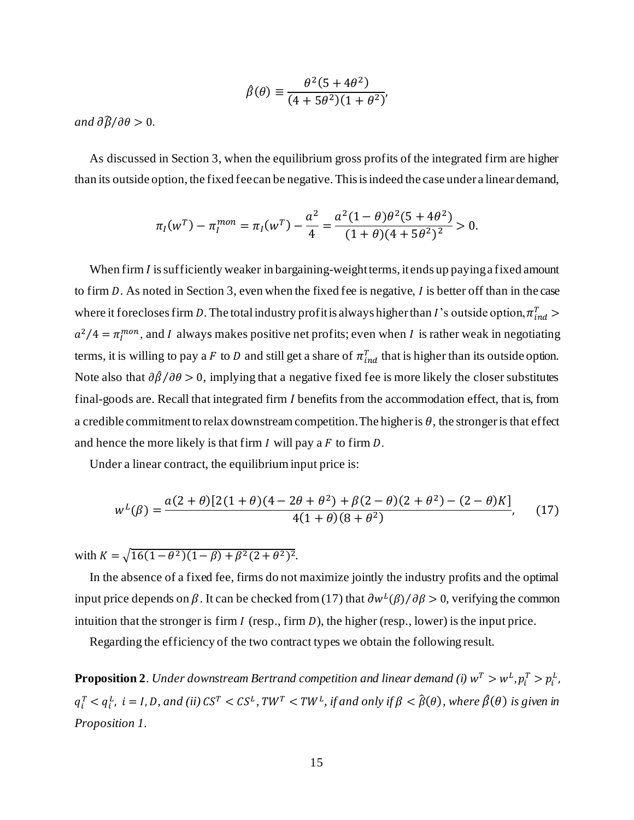$$
\hat{\beta}(\theta) \equiv \frac{\theta^2 (5 + 4\theta^2)}{(4 + 5\theta^2)(1 + \theta^2)}
$$

*and*  $\partial \hat{\beta}/\partial \theta > 0$ .

As discussed in Section 3, when the equilibrium gross profits of the integrated firm are higher than its outside option, the fixed fee can be negative. This is indeed the case under a linear demand,

$$
\pi_I(w^T) - \pi_I^{mon} = \pi_I(w^T) - \frac{a^2}{4} = \frac{a^2(1-\theta)\theta^2(5+4\theta^2)}{(1+\theta)(4+5\theta^2)^2} > 0.
$$

When firm  $I$  is sufficiently weaker in bargaining-weight terms, it ends up paying a fixed amount to firm  $D$ . As noted in Section 3, even when the fixed fee is negative,  $I$  is better off than in the case where it forecloses firm D. The total industry profit is always higher than I's outside option,  $\pi_{ind}^T$  >  $a^2/4 = \pi_I^{mon}$ , and *I* always makes positive net profits; even when *I* is rather weak in negotiating terms, it is willing to pay a F to D and still get a share of  $\pi_{ind}^T$  that is higher than its outside option. Note also that  $\partial \hat{\beta}/\partial \theta > 0$ , implying that a negative fixed fee is more likely the closer substitutes final-goods are. Recall that integrated firm *I* benefits from the accommodation effect, that is, from a credible commitment to relax downstream competition. The higher is  $\theta$ , the stronger is that effect and hence the more likely is that firm  $I$  will pay a  $F$  to firm  $D$ .

Under a linear contract, the equilibrium input price is:

$$
w^{L}(\beta) = \frac{a(2+\theta)[2(1+\theta)(4-2\theta+\theta^{2})+\beta(2-\theta)(2+\theta^{2})-(2-\theta)K]}{4(1+\theta)(8+\theta^{2})},
$$
 (17)

with  $K = \sqrt{16(1-\theta^2)(1-\beta) + \beta^2(2+\theta^2)^2}$ .

In the absence of a fixed fee, firms do not maximize jointly the industry profits and the optimal input price depends on  $\beta$ . It can be checked from (17) that  $\frac{\partial w^L(\beta)}{\partial \beta} > 0$ , verifying the common intuition that the stronger is firm  $I$  (resp., firm  $D$ ), the higher (resp., lower) is the input price.

Regarding the efficiency of the two contract types we obtain the following result.

**Proposition 2**. Under downstream Bertrand competition and linear demand (i)  $w^T > w^L, p^T_i > p^L_i$ ,  $q_i^T < q_i^L$ ,  $i = I, D$ , and (ii)  $CS^T < CS^L$ ,  $TW^T < TW^L$ , if and only if  $\beta < \hat{\beta}(\theta)$ , where  $\hat{\beta}(\theta)$  is given in *Proposition 1.*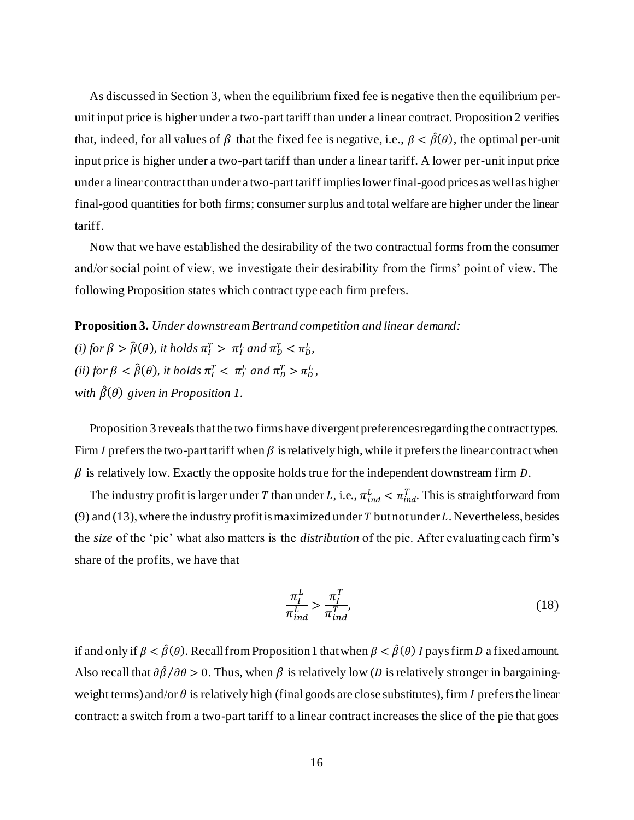As discussed in Section 3, when the equilibrium fixed fee is negative then the equilibrium perunit input price is higher under a two-part tariff than under a linear contract. Proposition 2 verifies that, indeed, for all values of  $\beta$  that the fixed fee is negative, i.e.,  $\beta < \hat{\beta}(\theta)$ , the optimal per-unit input price is higher under a two-part tariff than under a linear tariff. A lower per-unit input price under a linear contract than under a two-part tariff implies lower final-good prices as well as higher final-good quantities for both firms; consumer surplus and total welfare are higher under the linear tariff.

Now that we have established the desirability of the two contractual forms from the consumer and/or social point of view, we investigate their desirability from the firms' point of view. The following Proposition states which contract type each firm prefers.

**Proposition 3.** *Under downstream Bertrand competition and linear demand:* (*i*) for  $\beta > \hat{\beta}(\theta)$ , *it holds*  $\pi_I^T > \pi_I^L$  and  $\pi_D^T < \pi_D^L$ , (*ii*) for  $\beta < \hat{\beta}(\theta)$ , *it holds*  $\pi_I^T < \pi_I^L$  and  $\pi_D^T > \pi_D^L$ ,

*with*  $\hat{\beta}(\theta)$  *given in Proposition 1.* 

Proposition 3 reveals that the two firms have divergent preferences regarding the contract types. Firm *I* prefers the two-part tariff when  $\beta$  is relatively high, while it prefers the linear contract when  $\beta$  is relatively low. Exactly the opposite holds true for the independent downstream firm  $D$ .

The industry profit is larger under T than under L, i.e.,  $\pi_{ind}^L < \pi_{ind}^T$ . This is straightforward from (9) and (13), where the industry profit is maximized under  $T$  but not under  $L$ . Nevertheless, besides the *size* of the 'pie' what also matters is the *distribution* of the pie. After evaluating each firm's share of the profits, we have that

$$
\frac{\pi_I^L}{\pi_{ind}^L} > \frac{\pi_I^T}{\pi_{ind}^T},\tag{18}
$$

if and only if  $\beta < \hat{\beta}(\theta)$ . Recall from Proposition 1 that when  $\beta < \hat{\beta}(\theta)$  I pays firm D a fixed amount. Also recall that  $\partial \hat{\beta}/\partial \theta > 0$ . Thus, when  $\beta$  is relatively low (*D* is relatively stronger in bargainingweight terms) and/or  $\theta$  is relatively high (final goods are close substitutes), firm  $I$  prefers the linear contract: a switch from a two-part tariff to a linear contract increases the slice of the pie that goes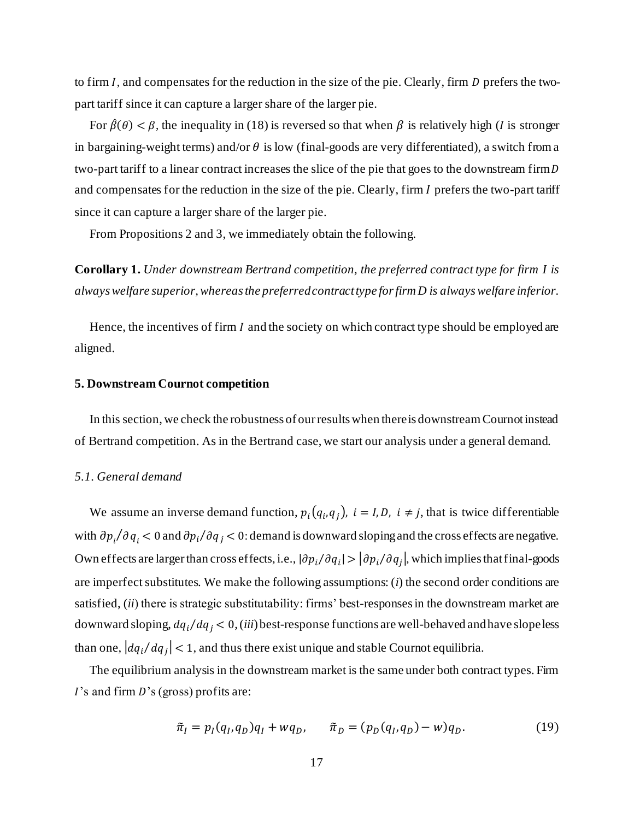to firm  $I$ , and compensates for the reduction in the size of the pie. Clearly, firm  $D$  prefers the twopart tariff since it can capture a larger share of the larger pie.

For  $\hat{\beta}(\theta) < \beta$ , the inequality in (18) is reversed so that when  $\beta$  is relatively high (*I* is stronger in bargaining-weight terms) and/or  $\theta$  is low (final-goods are very differentiated), a switch from a two-part tariff to a linear contract increases the slice of the pie that goes to the downstream firm D and compensates for the reduction in the size of the pie. Clearly, firm I prefers the two-part tariff since it can capture a larger share of the larger pie.

From Propositions 2 and 3, we immediately obtain the following.

**Corollary 1.** *Under downstream Bertrand competition, the preferred contract type for firm I is always welfare superior, whereas the preferred contract type for firm D is always welfare inferior.*

Hence, the incentives of firm  $I$  and the society on which contract type should be employed are aligned.

#### **5. Downstream Cournot competition**

In this section, we check the robustness of our results when there is downstream Cournot instead of Bertrand competition. As in the Bertrand case, we start our analysis under a general demand.

#### *5.1. General demand*

We assume an inverse demand function,  $p_i(q_i, q_j)$ ,  $i = I, D$ ,  $i \neq j$ , that is twice differentiable with  $\partial p_i / \partial q_i < 0$  and  $\partial p_i / \partial q_j < 0$ : demand is downward sloping and the cross effects are negative. Own effects are larger than cross effects, i.e.,  $|\partial p_i/\partial q_i| > |\partial p_i/\partial q_j|$ , which implies that final-goods are imperfect substitutes. We make the following assumptions: (*i*) the second order conditions are satisfied, (*ii*) there is strategic substitutability: firms' best-responses in the downstream market are downward sloping,  $dq_i/dq_j < 0$ , *(iii)* best-response functions are well-behaved and have slope less than one,  $|dq_i/dq_j| < 1$ , and thus there exist unique and stable Cournot equilibria.

The equilibrium analysis in the downstream market is the same under both contract types. Firm  $\overline{I}$ 's and firm  $\overline{D}$ 's (gross) profits are:

$$
\tilde{\pi}_I = p_I(q_I, q_D)q_I + wq_D, \qquad \tilde{\pi}_D = (p_D(q_I, q_D) - w)q_D. \tag{19}
$$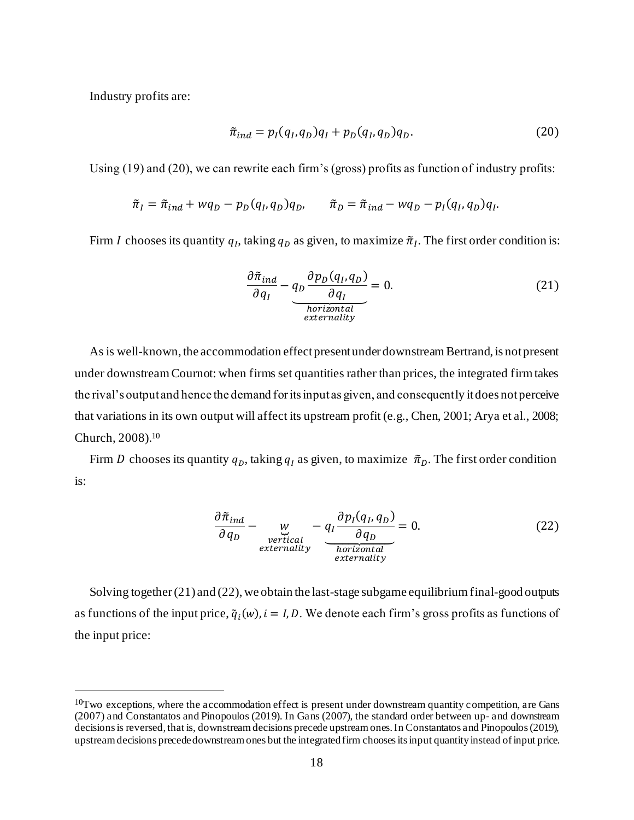Industry profits are:

$$
\tilde{\pi}_{ind} = p_I(q_I, q_D)q_I + p_D(q_I, q_D)q_D.
$$
\n(20)

Using (19) and (20), we can rewrite each firm's (gross) profits as function of industry profits:

$$
\tilde{\pi}_I = \tilde{\pi}_{ind} + wq_D - p_D(q_I, q_D)q_D, \qquad \tilde{\pi}_D = \tilde{\pi}_{ind} - wq_D - p_I(q_I, q_D)q_I.
$$

Firm *I* chooses its quantity  $q_l$ , taking  $q_p$  as given, to maximize  $\tilde{\pi}_l$ . The first order condition is:

$$
\frac{\partial \tilde{\pi}_{ind}}{\partial q_I} - q_D \frac{\partial p_D(q_I, q_D)}{\partial q_I} = 0.
$$
\n(21)

As is well-known, the accommodation effect present under downstream Bertrand, is not present under downstream Cournot: when firms set quantities rather than prices, the integrated firm takes the rival's output and hence the demand for its input as given, and consequently it does not perceive that variations in its own output will affect its upstream profit (e.g., Chen, 2001; Arya et al., 2008; Church, 2008).<sup>10</sup>

Firm D chooses its quantity  $q<sub>D</sub>$ , taking  $q<sub>I</sub>$  as given, to maximize  $\tilde{\pi}<sub>D</sub>$ . The first order condition is:

$$
\frac{\partial \tilde{\pi}_{ind}}{\partial q_D} - \underbrace{w}_{\substack{vertical \\externality}} - \underbrace{q_I \frac{\partial p_I(q_I, q_D)}{\partial q_D}}_{\substack{horizontal \\externality}} = 0.
$$
\n(22)

Solving together (21) and (22), we obtain the last-stage subgame equilibrium final-good outputs as functions of the input price,  $\tilde{q}_i(w)$ ,  $i = I, D$ . We denote each firm's gross profits as functions of the input price:

 $10$ Two exceptions, where the accommodation effect is present under downstream quantity competition, are Gans (2007) and Constantatos and Pinopoulos (2019). In Gans (2007), the standard order between up- and downstream decisions is reversed, that is, downstream decisions precede upstream ones. In Constantatos and Pinopoulos (2019), upstream decisions precede downstream ones but the integrated firm chooses its input quantity instead of input price.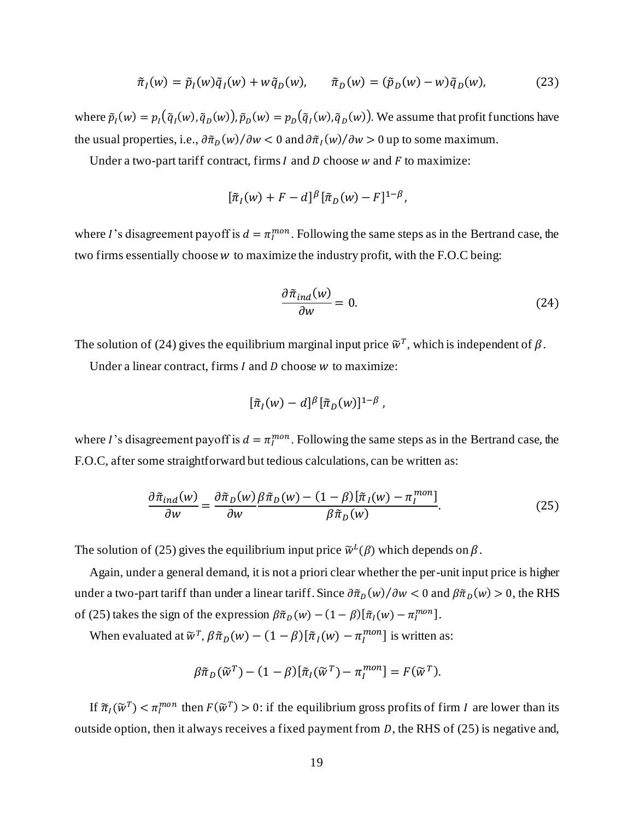$$
\tilde{\pi}_I(w) = \tilde{p}_I(w)\tilde{q}_I(w) + w\tilde{q}_D(w), \qquad \tilde{\pi}_D(w) = (\tilde{p}_D(w) - w)\tilde{q}_D(w), \tag{23}
$$

where  $\tilde{p}_I(w) = p_I(\tilde{q}_I(w), \tilde{q}_D(w))$ ,  $\tilde{p}_D(w) = p_D(\tilde{q}_I(w), \tilde{q}_D(w))$ . We assume that profit functions have the usual properties, i.e.,  $\frac{\partial \tilde{\pi}_D(w)}{\partial w} < 0$  and  $\frac{\partial \tilde{\pi}_I(w)}{\partial w} > 0$  up to some maximum.

Under a two-part tariff contract, firms  $I$  and  $D$  choose  $w$  and  $F$  to maximize:

$$
[\tilde{\pi}_I(w) + F - d]^{\beta} [\tilde{\pi}_D(w) - F]^{1-\beta},
$$

where I's disagreement payoff is  $d = \pi_I^{mon}$ . Following the same steps as in the Bertrand case, the two firms essentially choose  $w$  to maximize the industry profit, with the F.O.C being:

$$
\frac{\partial \tilde{\pi}_{ind}(w)}{\partial w} = 0.
$$
 (24)

The solution of (24) gives the equilibrium marginal input price  $\tilde{w}^T$ , which is independent of  $\beta$ .

Under a linear contract, firms  $I$  and  $D$  choose  $W$  to maximize:

$$
[\tilde{\pi}_I(w)-d]^{\beta}[\tilde{\pi}_D(w)]^{1-\beta},
$$

where I's disagreement payoff is  $d = \pi_I^{mon}$ . Following the same steps as in the Bertrand case, the F.O.C, after some straightforward but tedious calculations, can be written as:

$$
\frac{\partial \tilde{\pi}_{ind}(w)}{\partial w} = \frac{\partial \tilde{\pi}_D(w)}{\partial w} \frac{\beta \tilde{\pi}_D(w) - (1 - \beta) [\tilde{\pi}_I(w) - \pi_I^{mon}]}{\beta \tilde{\pi}_D(w)}.
$$
(25)

The solution of (25) gives the equilibrium input price  $\tilde{w}^L(\beta)$  which depends on  $\beta$ .

Again, under a general demand, it is not a priori clear whether the per-unit input price is higher under a two-part tariff than under a linear tariff. Since  $\frac{\partial \tilde{\pi}_D(w)}{\partial w} < 0$  and  $\frac{\partial \tilde{\pi}_D(w)}{>} 0$ , the RHS of (25) takes the sign of the expression  $\beta \tilde{\pi}_D(w) - (1 - \beta) [\tilde{\pi}_I(w) - \pi_I^{mon}].$ 

When evaluated at  $\tilde{w}^T$ ,  $\beta \tilde{\pi}_D(w) - (1 - \beta) [\tilde{\pi}_I(w) - \pi_I^{mon}]$  is written as:

$$
\beta \tilde{\pi}_D(\widetilde{w}^T) - (1 - \beta) [\tilde{\pi}_I(\widetilde{w}^T) - \pi_I^{mon}] = F(\widetilde{w}^T).
$$

If  $\tilde{\pi}_I(\tilde{w}^T) < \pi_I^{mon}$  then  $F(\tilde{w}^T) > 0$ : if the equilibrium gross profits of firm I are lower than its outside option, then it always receives a fixed payment from  $D$ , the RHS of (25) is negative and,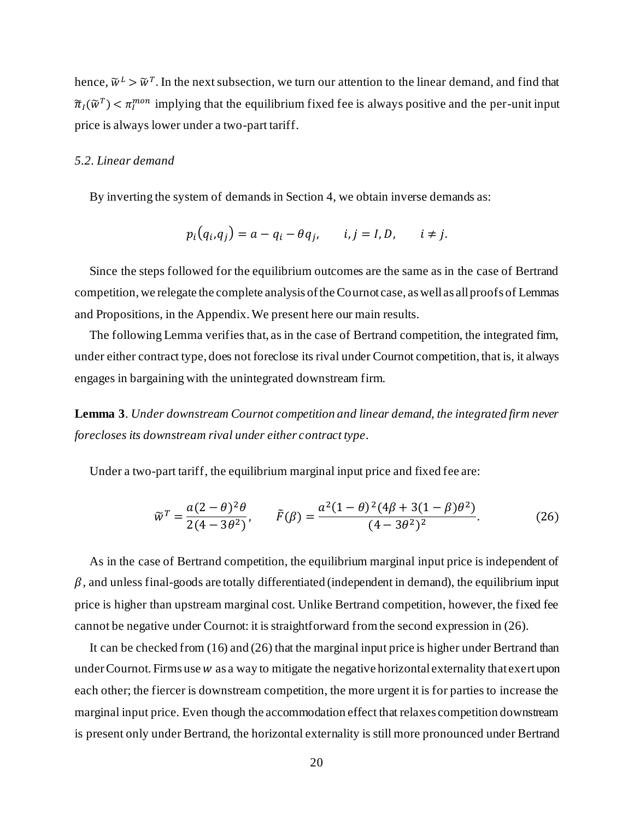hence,  $\tilde{w}^L > \tilde{w}^T$ . In the next subsection, we turn our attention to the linear demand, and find that  $\tilde{\pi}_I(\tilde{w}^T) < \pi_I^{mon}$  implying that the equilibrium fixed fee is always positive and the per-unit input price is always lower under a two-part tariff.

# *5.2. Linear demand*

By inverting the system of demands in Section 4, we obtain inverse demands as:

$$
p_i(q_i,q_j) = a - q_i - \theta q_j, \qquad i,j = I,D, \qquad i \neq j.
$$

Since the steps followed for the equilibrium outcomes are the same as in the case of Bertrand competition, we relegate the complete analysis of the Cournot case, as well as all proofs of Lemmas and Propositions, in the Appendix. We present here our main results.

The following Lemma verifies that, as in the case of Bertrand competition, the integrated firm, under either contract type, does not foreclose its rival under Cournot competition, that is, it always engages in bargaining with the unintegrated downstream firm.

**Lemma 3**. *Under downstream Cournot competition and linear demand, the integrated firm never forecloses its downstream rival under either contract type*.

Under a two-part tariff, the equilibrium marginal input price and fixed fee are:

$$
\widetilde{w}^T = \frac{a(2-\theta)^2 \theta}{2(4-3\theta^2)}, \qquad \widetilde{F}(\beta) = \frac{a^2(1-\theta)^2(4\beta+3(1-\beta)\theta^2)}{(4-3\theta^2)^2}.
$$
 (26)

As in the case of Bertrand competition, the equilibrium marginal input price is independent of  $\beta$ , and unless final-goods are totally differentiated (independent in demand), the equilibrium input price is higher than upstream marginal cost. Unlike Bertrand competition, however, the fixed fee cannot be negative under Cournot: it is straightforward from the second expression in (26).

It can be checked from (16) and (26) that the marginal input price is higher under Bertrand than under Cournot. Firms use  $w$  as a way to mitigate the negative horizontal externality that exert upon each other; the fiercer is downstream competition, the more urgent it is for parties to increase the marginal input price. Even though the accommodation effect that relaxes competition downstream is present only under Bertrand, the horizontal externality is still more pronounced under Bertrand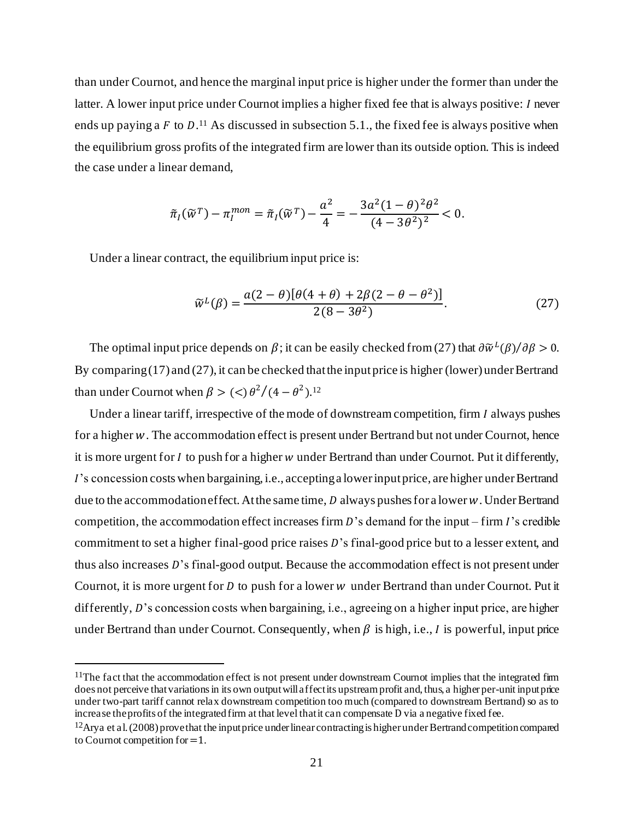than under Cournot, and hence the marginal input price is higher under the former than under the latter. A lower input price under Cournot implies a higher fixed fee that is always positive: *I* never ends up paying a F to  $D^{11}$ . As discussed in subsection 5.1., the fixed fee is always positive when the equilibrium gross profits of the integrated firm are lower than its outside option. This is indeed the case under a linear demand,

$$
\tilde{\pi}_I(\tilde{w}^T) - \pi_I^{mon} = \tilde{\pi}_I(\tilde{w}^T) - \frac{a^2}{4} = -\frac{3a^2(1-\theta)^2\theta^2}{(4-3\theta^2)^2} < 0.
$$

Under a linear contract, the equilibrium input price is:

$$
\widetilde{w}^{L}(\beta) = \frac{a(2-\theta)[\theta(4+\theta) + 2\beta(2-\theta-\theta^{2})]}{2(8-3\theta^{2})}.
$$
\n(27)

The optimal input price depends on  $\beta$ ; it can be easily checked from (27) that  $\frac{\partial \widetilde{w}^L(\beta)}{\partial \beta} > 0$ . By comparing (17) and (27), it can be checked that the input price is higher (lower) under Bertrand than under Cournot when  $\beta > (<) \theta^2/(4-\theta^2)^{12}$ 

Under a linear tariff, irrespective of the mode of downstream competition, firm  $I$  always pushes for a higher w. The accommodation effect is present under Bertrand but not under Cournot, hence it is more urgent for  $I$  to push for a higher  $w$  under Bertrand than under Cournot. Put it differently, 's concession costs when bargaining, i.e., accepting a lower input price, are higher under Bertrand due to the accommodation effect. At the same time,  $D$  always pushes for a lower  $w$ . Under Bertrand competition, the accommodation effect increases firm  $D$ 's demand for the input – firm  $I$ 's credible commitment to set a higher final-good price raises D's final-good price but to a lesser extent, and thus also increases  $D$ 's final-good output. Because the accommodation effect is not present under Cournot, it is more urgent for  $D$  to push for a lower  $w$  under Bertrand than under Cournot. Put it differently,  $D$ 's concession costs when bargaining, i.e., agreeing on a higher input price, are higher under Bertrand than under Cournot. Consequently, when  $\beta$  is high, i.e., I is powerful, input price

 $11$ The fact that the accommodation effect is not present under downstream Cournot implies that the integrated firm does not perceive that variations in its own output will affect its upstream profit and, thus, a higher per-unit input price under two-part tariff cannot relax downstream competition too much (compared to downstream Bertrand) so as to increase the profits of the integrated firm at that level that it can compensate D via a negative fixed fee.

 $12$ Arya et al. (2008) prove that the input price under linear contracting is higher under Bertrand competition compared to Cournot competition for =1.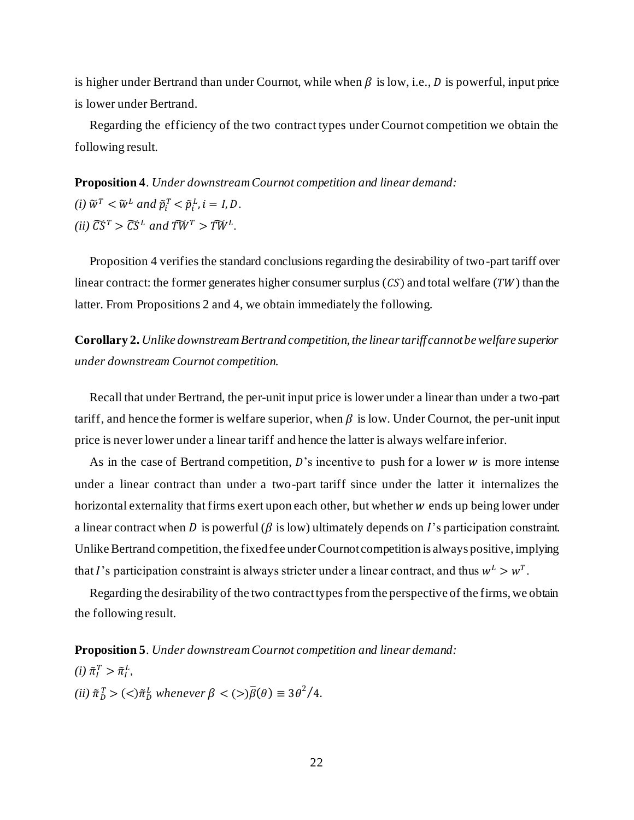is higher under Bertrand than under Cournot, while when  $\beta$  is low, i.e., D is powerful, input price is lower under Bertrand.

Regarding the efficiency of the two contract types under Cournot competition we obtain the following result.

**Proposition 4**. *Under downstream Cournot competition and linear demand: (i)*  $\widetilde{w}^T < \widetilde{w}^L$  and  $\widetilde{p}_i^T < \widetilde{p}_i^L$ ,  $i = I, D$ . *(ii)*  $\widetilde{CS}^T > \widetilde{CS}^L$  and  $\widetilde{TW}^T > \widetilde{TW}^L$ .

Proposition 4 verifies the standard conclusions regarding the desirability of two-part tariff over linear contract: the former generates higher consumer surplus  $(CS)$  and total welfare (TW) than the latter. From Propositions 2 and 4, we obtain immediately the following.

**Corollary 2.** *Unlike downstream Bertrand competition, the linear tariff cannot be welfare superior under downstream Cournot competition.*

Recall that under Bertrand, the per-unit input price is lower under a linear than under a two-part tariff, and hence the former is welfare superior, when  $\beta$  is low. Under Cournot, the per-unit input price is never lower under a linear tariff and hence the latter is always welfare inferior.

As in the case of Bertrand competition,  $D$ 's incentive to push for a lower  $w$  is more intense under a linear contract than under a two-part tariff since under the latter it internalizes the horizontal externality that firms exert upon each other, but whether  $w$  ends up being lower under a linear contract when D is powerful ( $\beta$  is low) ultimately depends on I's participation constraint. Unlike Bertrand competition, the fixed fee under Cournot competition is always positive, implying that *I*'s participation constraint is always stricter under a linear contract, and thus  $w^L > w^T$ .

Regarding the desirability of the two contract types from the perspective of the firms, we obtain the following result.

**Proposition 5**. *Under downstream Cournot competition and linear demand:*

 $(i)$   $\tilde{\pi}_I^T > \tilde{\pi}_I^L$ ,

 $(iii)$   $\tilde{\pi}_D^T$  >  $(<)$  $\tilde{\pi}_D^L$  whenever  $\beta$  <  $(>)\overline{\beta}(\theta) \equiv 3\theta^2/4$ .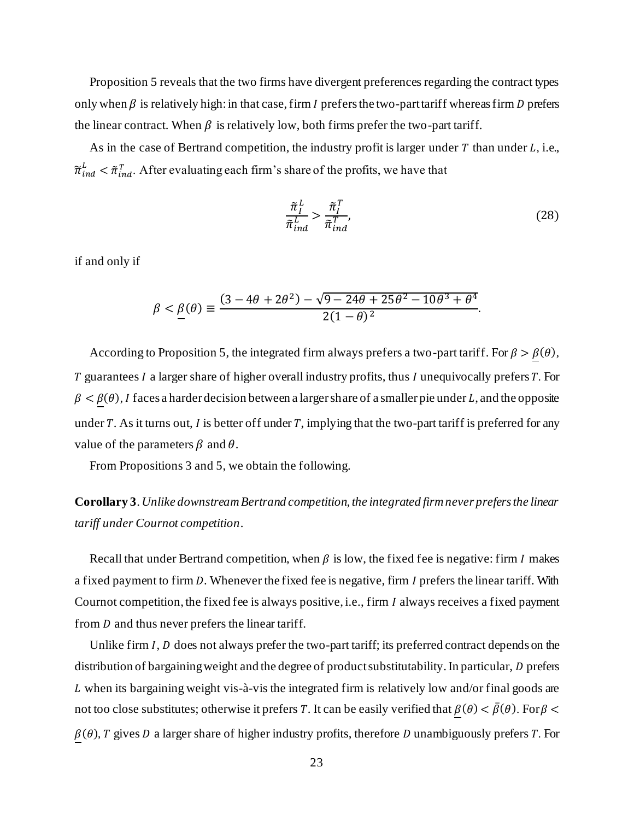Proposition 5 reveals that the two firms have divergent preferences regarding the contract types only when  $\beta$  is relatively high: in that case, firm *I* prefers the two-part tariff whereas firm *D* prefers the linear contract. When  $\beta$  is relatively low, both firms prefer the two-part tariff.

As in the case of Bertrand competition, the industry profit is larger under  $T$  than under  $L$ , i.e.,  $\widetilde{\pi}_{ind}^L < \widetilde{\pi}_{ind}^T$ . After evaluating each firm's share of the profits, we have that

$$
\frac{\tilde{\pi}_I^L}{\tilde{\pi}_{ind}^L} > \frac{\tilde{\pi}_I^T}{\tilde{\pi}_{ind}^T},
$$
\n(28)

if and only if

$$
\beta < \underline{\beta}(\theta) \equiv \frac{(3 - 4\theta + 2\theta^2) - \sqrt{9 - 24\theta + 25\theta^2 - 10\theta^3 + \theta^4}}{2(1 - \theta)^2}.
$$

According to Proposition 5, the integrated firm always prefers a two-part tariff. For  $\beta > \underline{\beta}(\theta)$ ,  $T$  guarantees  $I$  a larger share of higher overall industry profits, thus  $I$  unequivocally prefers  $T$ . For  $\beta < \underline{\beta}(\theta)$ , I faces a harder decision between a larger share of a smaller pie under L, and the opposite under T. As it turns out, I is better off under T, implying that the two-part tariff is preferred for any value of the parameters  $\beta$  and  $\theta$ .

From Propositions 3 and 5, we obtain the following.

# **Corollary 3**. *Unlike downstream Bertrand competition, the integrated firm never prefers the linear tariff under Cournot competition*.

Recall that under Bertrand competition, when  $\beta$  is low, the fixed fee is negative: firm I makes a fixed payment to firm D. Whenever the fixed fee is negative, firm I prefers the linear tariff. With Cournot competition, the fixed fee is always positive, i.e., firm *I* always receives a fixed payment from  $D$  and thus never prefers the linear tariff.

Unlike firm  $I$ ,  $D$  does not always prefer the two-part tariff; its preferred contract depends on the distribution of bargaining weight and the degree of product substitutability. In particular, D prefers L when its bargaining weight vis-à-vis the integrated firm is relatively low and/or final goods are not too close substitutes; otherwise it prefers T. It can be easily verified that  $\beta(\theta) < \bar{\beta}(\theta)$ . For  $\beta$  <  $\beta(\theta)$ , T gives D a larger share of higher industry profits, therefore D unambiguously prefers T. For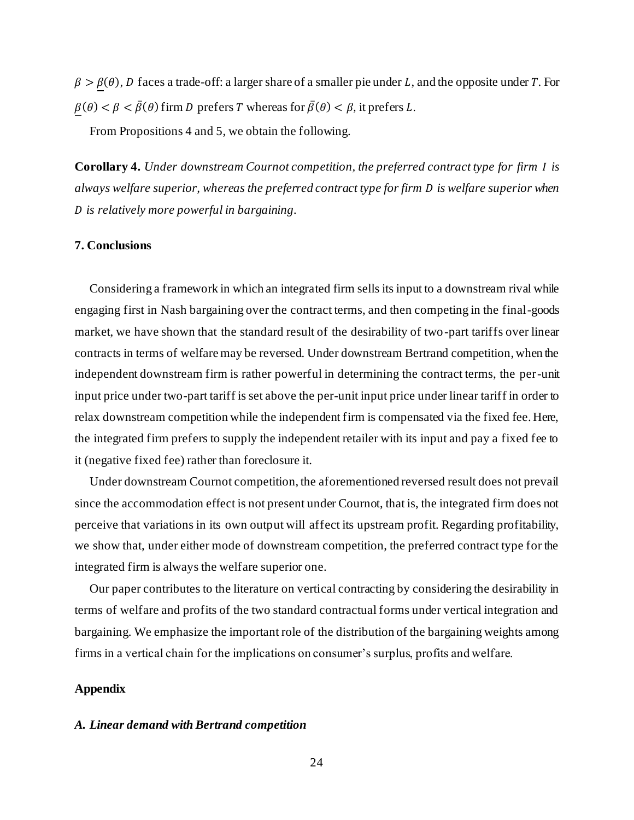$\beta > \beta(\theta)$ , D faces a trade-off: a larger share of a smaller pie under L, and the opposite under T. For  $\beta(\theta) < \beta < \overline{\beta}(\theta)$  firm D prefers T whereas for  $\overline{\beta}(\theta) < \beta$ , it prefers L.

From Propositions 4 and 5, we obtain the following.

**Corollary 4.** *Under downstream Cournot competition, the preferred contract type for firm is always welfare superior, whereas the preferred contract type for firm is welfare superior when is relatively more powerful in bargaining.*

# **7. Conclusions**

Considering a framework in which an integrated firm sells its input to a downstream rival while engaging first in Nash bargaining over the contract terms, and then competing in the final-goods market, we have shown that the standard result of the desirability of two-part tariffs over linear contracts in terms of welfare may be reversed. Under downstream Bertrand competition, when the independent downstream firm is rather powerful in determining the contract terms, the per-unit input price under two-part tariff is set above the per-unit input price under linear tariff in order to relax downstream competition while the independent firm is compensated via the fixed fee. Here, the integrated firm prefers to supply the independent retailer with its input and pay a fixed fee to it (negative fixed fee) rather than foreclosure it.

Under downstream Cournot competition, the aforementioned reversed result does not prevail since the accommodation effect is not present under Cournot, that is, the integrated firm does not perceive that variations in its own output will affect its upstream profit. Regarding profitability, we show that, under either mode of downstream competition, the preferred contract type for the integrated firm is always the welfare superior one.

Our paper contributes to the literature on vertical contracting by considering the desirability in terms of welfare and profits of the two standard contractual forms under vertical integration and bargaining. We emphasize the important role of the distribution of the bargaining weights among firms in a vertical chain for the implications on consumer's surplus, profits and welfare.

# **Appendix**

#### *A. Linear demand with Bertrand competition*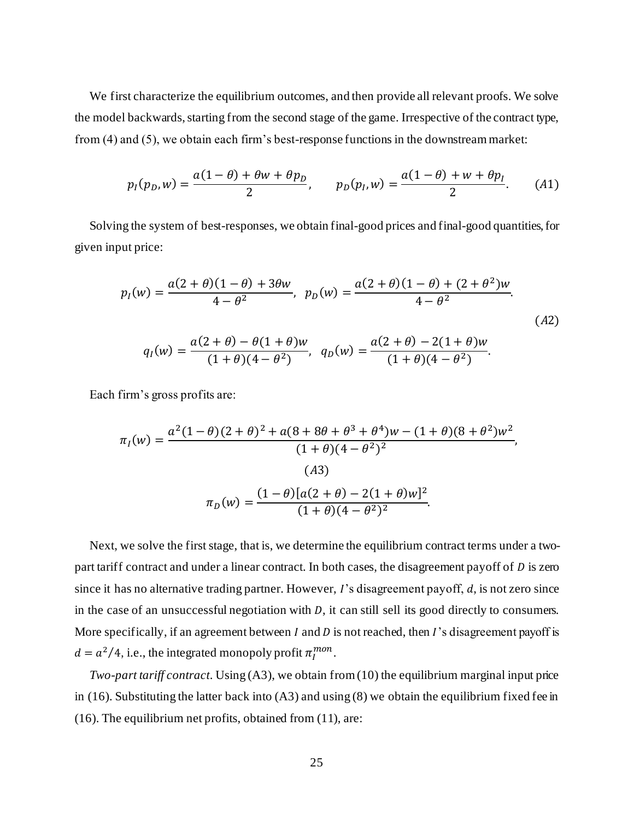We first characterize the equilibrium outcomes, and then provide all relevant proofs. We solve the model backwards, starting from the second stage of the game. Irrespective of the contract type, from (4) and (5), we obtain each firm's best-response functions in the downstream market:

$$
p_I(p_D, w) = \frac{a(1 - \theta) + \theta w + \theta p_D}{2}, \qquad p_D(p_I, w) = \frac{a(1 - \theta) + w + \theta p_I}{2}.
$$
 (A1)

Solving the system of best-responses, we obtain final-good prices and final-good quantities, for given input price:

$$
p_I(w) = \frac{a(2+\theta)(1-\theta) + 3\theta w}{4-\theta^2}, \quad p_D(w) = \frac{a(2+\theta)(1-\theta) + (2+\theta^2)w}{4-\theta^2}.
$$
  
(A2)  

$$
q_I(w) = \frac{a(2+\theta) - \theta(1+\theta)w}{(1+\theta)(4-\theta^2)}, \quad q_D(w) = \frac{a(2+\theta) - 2(1+\theta)w}{(1+\theta)(4-\theta^2)}.
$$

Each firm's gross profits are:

$$
\pi_I(w) = \frac{a^2(1-\theta)(2+\theta)^2 + a(8+8\theta+\theta^3+\theta^4)w - (1+\theta)(8+\theta^2)w^2}{(1+\theta)(4-\theta^2)^2},
$$
  
(A3)  

$$
\pi_D(w) = \frac{(1-\theta)[a(2+\theta)-2(1+\theta)w]^2}{(1+\theta)(4-\theta^2)^2}.
$$

Next, we solve the first stage, that is, we determine the equilibrium contract terms under a twopart tariff contract and under a linear contract. In both cases, the disagreement payoff of  $D$  is zero since it has no alternative trading partner. However,  $I$ 's disagreement payoff,  $d$ , is not zero since in the case of an unsuccessful negotiation with  $D$ , it can still sell its good directly to consumers. More specifically, if an agreement between  $I$  and  $D$  is not reached, then  $I$ 's disagreement payoff is  $d = a^2/4$ , i.e., the integrated monopoly profit  $\pi_l^{mon}$ .

*Two-part tariff contract*. Using (A3), we obtain from (10) the equilibrium marginal input price in (16). Substituting the latter back into (A3) and using (8) we obtain the equilibrium fixed fee in (16). The equilibrium net profits, obtained from (11), are: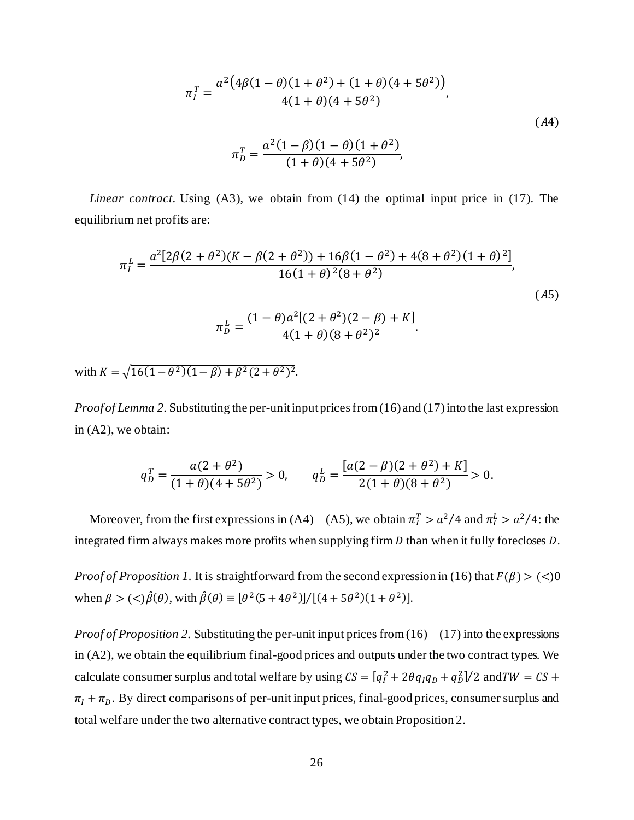$$
\pi_I^T = \frac{a^2(4\beta(1-\theta)(1+\theta^2) + (1+\theta)(4+5\theta^2))}{4(1+\theta)(4+5\theta^2)},
$$
  
\n
$$
\pi_D^T = \frac{a^2(1-\beta)(1-\theta)(1+\theta^2)}{(1+\theta)(4+5\theta^2)},
$$
\n(A4)

*Linear contract*. Using (A3), we obtain from (14) the optimal input price in (17). The equilibrium net profits are:

$$
\pi_I^L = \frac{a^2[2\beta(2+\theta^2)(K-\beta(2+\theta^2)) + 16\beta(1-\theta^2) + 4(8+\theta^2)(1+\theta)^2]}{16(1+\theta)^2(8+\theta^2)},
$$
\n
$$
\pi_D^L = \frac{(1-\theta)a^2[(2+\theta^2)(2-\beta)+K]}{4(1+\theta)(8+\theta^2)^2}.
$$
\n(A5)

with  $K = \sqrt{16(1-\theta^2)(1-\beta) + \beta^2(2+\theta^2)^2}$ .

*Proof of Lemma 2.* Substituting the per-unit input prices from (16) and (17) into the last expression in (A2), we obtain:

$$
q_D^T = \frac{a(2+\theta^2)}{(1+\theta)(4+5\theta^2)} > 0, \qquad q_D^L = \frac{[a(2-\beta)(2+\theta^2)+K]}{2(1+\theta)(8+\theta^2)} > 0.
$$

Moreover, from the first expressions in  $(A4) - (A5)$ , we obtain  $\pi_I^T > a^2/4$  and  $\pi_I^L > a^2/4$ : the integrated firm always makes more profits when supplying firm  $D$  than when it fully forecloses  $D$ .

*Proof of Proposition 1.* It is straightforward from the second expression in (16) that  $F(\beta) > (\leq)0$ when  $\beta > ($ 

*Proof of Proposition 2.* Substituting the per-unit input prices from  $(16) - (17)$  into the expressions in (A2), we obtain the equilibrium final-good prices and outputs under the two contract types. We calculate consumer surplus and total welfare by using  $CS = [q_I^2 + 2\theta q_I q_D + q_D^2]/2$  and  $TW = CS +$  $\pi_I + \pi_D$ . By direct comparisons of per-unit input prices, final-good prices, consumer surplus and total welfare under the two alternative contract types, we obtain Proposition 2.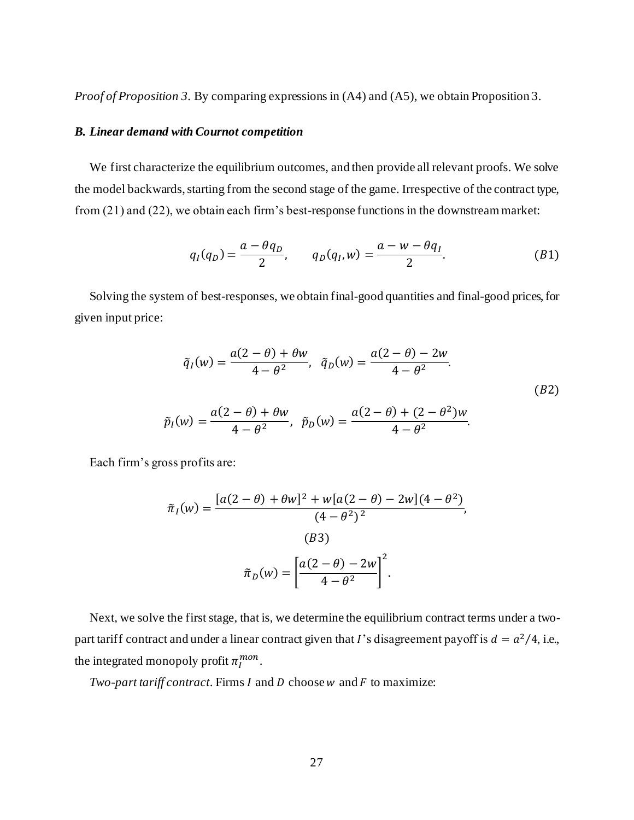*Proof of Proposition 3.* By comparing expressions in (A4) and (A5), we obtain Proposition 3.

# *B. Linear demand with Cournot competition*

We first characterize the equilibrium outcomes, and then provide all relevant proofs. We solve the model backwards, starting from the second stage of the game. Irrespective of the contract type, from (21) and (22), we obtain each firm's best-response functions in the downstream market:

$$
q_I(q_D) = \frac{a - \theta q_D}{2}, \qquad q_D(q_I, w) = \frac{a - w - \theta q_I}{2}.
$$
 (B1)

Solving the system of best-responses, we obtain final-good quantities and final-good prices, for given input price:

$$
\tilde{q}_I(w) = \frac{a(2-\theta) + \theta w}{4 - \theta^2}, \quad \tilde{q}_D(w) = \frac{a(2-\theta) - 2w}{4 - \theta^2}.
$$
\n
$$
\tilde{p}_I(w) = \frac{a(2-\theta) + \theta w}{4 - \theta^2}, \quad \tilde{p}_D(w) = \frac{a(2-\theta) + (2-\theta^2)w}{4 - \theta^2}.
$$
\n(B2)

Each firm's gross profits are:

$$
\tilde{\pi}_I(w) = \frac{[a(2-\theta) + \theta w]^2 + w[a(2-\theta) - 2w](4-\theta^2)}{(4-\theta^2)^2},
$$
\n(B3)\n
$$
\tilde{\pi}_D(w) = \left[\frac{a(2-\theta) - 2w}{4-\theta^2}\right]^2.
$$

Next, we solve the first stage, that is, we determine the equilibrium contract terms under a twopart tariff contract and under a linear contract given that *I*'s disagreement payoff is  $d = a^2/4$ , i.e., the integrated monopoly profit  $\pi_I^{mon}$ .

*Two-part tariff contract.* Firms  $I$  and  $D$  choose  $w$  and  $F$  to maximize: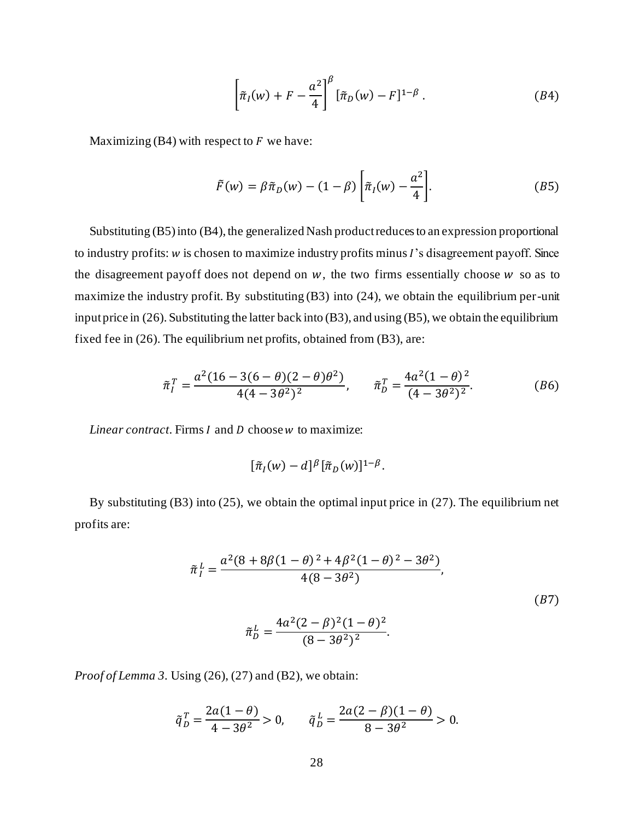$$
\left[\tilde{\pi}_I(w) + F - \frac{a^2}{4}\right]^\beta [\tilde{\pi}_D(w) - F]^{1-\beta} . \tag{B4}
$$

Maximizing (B4) with respect to  $F$  we have:

$$
\tilde{F}(w) = \beta \tilde{\pi}_D(w) - (1 - \beta) \left[ \tilde{\pi}_I(w) - \frac{a^2}{4} \right].
$$
\n(B5)

Substituting (B5) into (B4), the generalized Nash product reduces to an expression proportional to industry profits:  $w$  is chosen to maximize industry profits minus  $I$ 's disagreement payoff. Since the disagreement payoff does not depend on  $w$ , the two firms essentially choose  $w$  so as to maximize the industry profit. By substituting (B3) into (24), we obtain the equilibrium per-unit input price in (26). Substituting the latter back into (B3), and using (B5), we obtain the equilibrium fixed fee in (26). The equilibrium net profits, obtained from (B3), are:

$$
\tilde{\pi}_I^T = \frac{a^2(16 - 3(6 - \theta)(2 - \theta)\theta^2)}{4(4 - 3\theta^2)^2}, \qquad \tilde{\pi}_D^T = \frac{4a^2(1 - \theta)^2}{(4 - 3\theta^2)^2}.
$$
 (B6)

*Linear contract*. Firms *I* and *D* choose *w* to maximize:

$$
[\tilde{\pi}_I(w)-d]^{\beta}[\tilde{\pi}_D(w)]^{1-\beta}.
$$

By substituting (B3) into (25), we obtain the optimal input price in (27). The equilibrium net profits are:

$$
\tilde{\pi}_I^L = \frac{a^2 (8 + 8\beta (1 - \theta)^2 + 4\beta^2 (1 - \theta)^2 - 3\theta^2)}{4(8 - 3\theta^2)},
$$
\n
$$
\tilde{\pi}_D^L = \frac{4a^2 (2 - \beta)^2 (1 - \theta)^2}{(8 - 3\theta^2)^2}.
$$
\n(B7)

*Proof of Lemma 3.* Using (26), (27) and (B2), we obtain:

$$
\tilde{q}_D^T = \frac{2a(1-\theta)}{4-3\theta^2} > 0, \qquad \tilde{q}_D^L = \frac{2a(2-\beta)(1-\theta)}{8-3\theta^2} > 0.
$$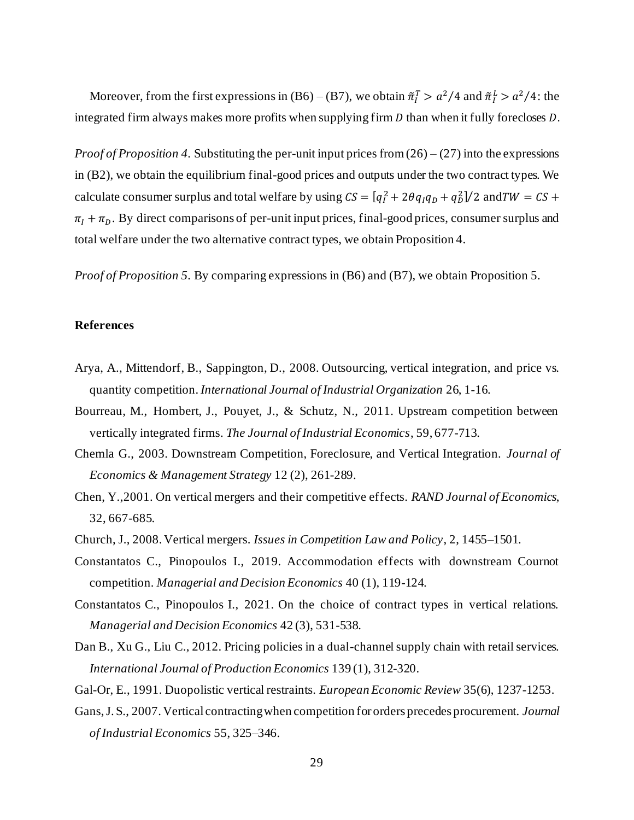Moreover, from the first expressions in (B6) – (B7), we obtain  $\tilde{\pi}_I^T > a^2/4$  and  $\tilde{\pi}_I^L > a^2/4$ : the integrated firm always makes more profits when supplying firm  $D$  than when it fully forecloses  $D$ .

*Proof of Proposition 4.* Substituting the per-unit input prices from (26) – (27) into the expressions in (B2), we obtain the equilibrium final-good prices and outputs under the two contract types. We calculate consumer surplus and total welfare by using  $CS = [q_I^2 + 2\theta q_I q_D + q_D^2]/2$  and  $TW = CS +$  $\pi_1 + \pi_2$ . By direct comparisons of per-unit input prices, final-good prices, consumer surplus and total welfare under the two alternative contract types, we obtain Proposition 4.

*Proof of Proposition 5.* By comparing expressions in (B6) and (B7), we obtain Proposition 5.

# **References**

- Arya, A., Mittendorf, B., Sappington, D., 2008. Outsourcing, vertical integration, and price vs. quantity competition. *International Journal of Industrial Organization* 26, 1-16.
- Bourreau, M., Hombert, J., Pouyet, J., & Schutz, N., 2011. Upstream competition between vertically integrated firms. *The Journal of Industrial Economics*, 59, 677-713.
- Chemla G., 2003. Downstream Competition, Foreclosure, and Vertical Integration. *Journal of Economics & Management Strategy* 12 (2), 261-289.
- Chen, Y.,2001. On vertical mergers and their competitive effects. *RAND Journal of Economics*, 32, 667-685.
- Church, J., 2008. Vertical mergers. *Issues in Competition Law and Policy*, 2, 1455–1501.
- Constantatos C., Pinopoulos I., 2019. Accommodation effects with downstream Cournot competition. *Managerial and Decision Economics* 40 (1), 119-124.
- Constantatos C., Pinopoulos I., 2021. On the choice of contract types in vertical relations. *Managerial and Decision Economics* 42 (3), 531-538.
- Dan B., Xu G., Liu C., 2012. Pricing policies in a dual-channel supply chain with retail services. *International Journal of Production Economics* 139 (1), 312-320.
- Gal-Or, E., 1991. Duopolistic vertical restraints. *European Economic Review* 35(6), 1237-1253.
- Gans, J. S., 2007. Vertical contracting when competition for orders precedes procurement. *Journal of Industrial Economics* 55, 325–346.